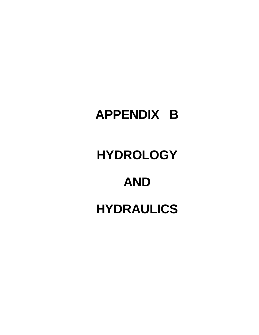# **APPENDIX B**

# **HYDROLOGY**

# **AND**

# **HYDRAULICS**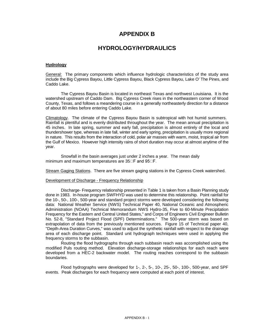# **APPENDIX B**

# **HYDROLOGY/HYDRAULICS**

## **Hydrology**

General: The primary components which influence hydrologic characteristics of the study area include the Big Cypress Bayou, Little Cypress Bayou, Black Cypress Bayou, Lake O' The Pines, and Caddo Lake.

The Cypress Bayou Basin is located in northeast Texas and northwest Louisiana. It is the watershed upstream of Caddo Dam. Big Cypress Creek rises in the northeastern corner of Wood County, Texas, and follows a meandering course in a generally northeasterly direction for a distance of about 80 miles before entering Caddo Lake.

Climatology. The climate of the Cypress Bayou Basin is subtropical with hot humid summers. Rainfall is plentiful and is evenly distributed throughout the year. The mean annual precipitation is 45 inches. In late spring, summer and early fall, precipitation is almost entirely of the local and thundershower type, whereas in late fall, winter and early spring, precipitation is usually more regional in nature. This results from the interaction of cold, polar air masses with warm, moist, tropical air from the Gulf of Mexico. However high intensity rains of short duration may occur at almost anytime of the year.

Snowfall in the basin averages just under 2 inches a year. The mean daily minimum and maximum temperatures are  $35\Box F$  and  $95\Box F$ .

Stream Gaging Stations. There are five stream gaging stations in the Cypress Creek watershed.

#### Development of Discharge - Frequency Relationship

Discharge- Frequency relationship presented in Table 1 is taken from a Basin Planning study done in 1983. In-house program SWFHYD was used to determine this relationship. Point rainfall for the 10-, 50-, 100-, 500-year and standard project storms were developed considering the following data: National Weather Service (NWS) Technical Paper 40, National Oceanic and Atmospheric Administration (NOAA) Technical Memorandum NWS Hydro-35, Five to 60-Minute Precipitation Frequency for the Eastern and Central United States," and Corps of Engineers Civil Engineer Bulletin No. 52-8, "Standard Project Flood (SPF) Determinations." The 500-year storm was based on extrapolation of data from the previously mentioned sources. Figure 15 of Technical paper 40, "Depth-Area Duration Curves," was used to adjust the synthetic rainfall with respect to the drainage area of each discharge point. Standard unit hydrograph techniques were used in applying the frequency storms to the subbasin.

Routing the flood hydrographs through each subbasin reach was accomplished using the modified Puls routing method. Elevation discharge-storage relationships for each reach were developed from a HEC-2 backwater model. The routing reaches correspond to the subbasin boundaries.

Flood hydrographs were developed for 1-, 2-, 5-, 10-, 25-, 50-, 100-, 500-year, and SPF events. Peak discharges for each frequency were computed at each point of interest.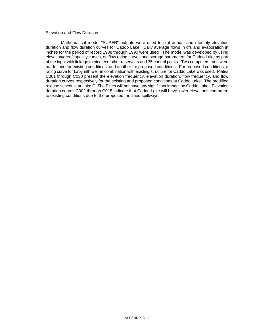## Elevation and Flow Duration

Mathematical model "SUPER" outputs were used to plot annual and monthly elevation duration and flow duration curves for Caddo Lake. Daily average flows in cfs and evaporation in inches for the period of record 1938 through 1990 were used. The model was developed by using elevation/area/capacity curves, outflow rating curves and storage parameters for Caddo Lake as part of the input with linkage to nineteen other reservoirs and 35 control points. Two computers runs were made, one for existing conditions, and another for proposed conditions. For proposed conditions, a rating curve for Labyrinth weir in combination with existing structure for Caddo Lake was used. Plates C001 through C030 present the elevation frequency, elevation duration, flow frequency, and flow duration curves respectively for the existing and proposed conditions at Caddo Lake. The modified release schedule at Lake O' The Pines will not have any significant impact on Caddo Lake. Elevation duration curves C002 through C015 indicate that Caddo Lake will have lower elevations compared to existing conditions due to the proposed modified spillways.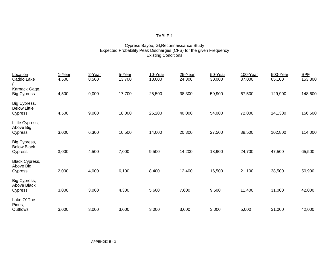## TABLE 1

# Cypress Bayou, GI,Reconnaissance Study Expected Probability Peak Discharges (CFS) for the given Frequency Existing Conditions

| Location                                      | 1-Year | 2-Year | 5-Year | 10-Year | 25-Year | 50-Year | 100-Year | 500-Year | <b>SPF</b> |
|-----------------------------------------------|--------|--------|--------|---------|---------|---------|----------|----------|------------|
| Caddo Lake                                    | 4,500  | 8,500  | 13,700 | 18,000  | 24,300  | 30,000  | 37,000   | 65,100   | 153,800    |
| Karnack Gage,                                 |        |        |        |         |         |         |          |          |            |
| <b>Big Cypress</b>                            | 4,500  | 9,000  | 17,700 | 25,500  | 38,300  | 50,900  | 67,500   | 129,900  | 148,600    |
| Big Cypress,<br><b>Below Little</b>           |        |        |        |         |         |         |          |          |            |
| Cypress                                       | 4,500  | 9,000  | 18,000 | 26,200  | 40,000  | 54,000  | 72,000   | 141,300  | 156,600    |
| Little Cypress,<br>Above Big<br>Cypress       | 3,000  | 6,300  | 10,500 | 14,000  | 20,300  | 27,500  | 38,500   | 102,800  | 114,000    |
|                                               |        |        |        |         |         |         |          |          |            |
| Big Cypress,<br><b>Below Black</b><br>Cypress | 3,000  | 4,500  | 7,000  | 9,500   | 14,200  | 18,900  | 24,700   | 47,500   | 65,500     |
| Black Cypress,                                |        |        |        |         |         |         |          |          |            |
| Above Big                                     |        |        |        |         |         |         |          |          |            |
| Cypress                                       | 2,000  | 4,000  | 6,100  | 8,400   | 12,400  | 16,500  | 21,100   | 38,500   | 50,900     |
| Big Cypress,<br>Above Black                   |        |        |        |         |         |         |          |          |            |
| Cypress                                       | 3,000  | 3,000  | 4,300  | 5,600   | 7,600   | 9,500   | 11,400   | 31,000   | 42,000     |
|                                               |        |        |        |         |         |         |          |          |            |
| Lake O' The<br>Pines,                         |        |        |        |         |         |         |          |          |            |
| Outflows                                      | 3,000  | 3,000  | 3,000  | 3,000   | 3,000   | 3,000   | 5,000    | 31,000   | 42,000     |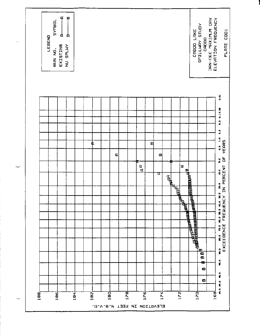

 $\overline{\phantom{a}}$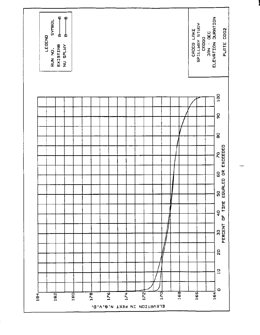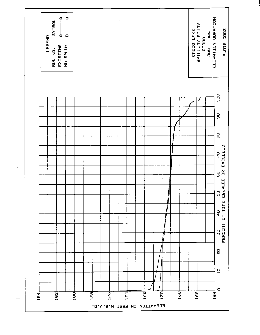

÷

 $\sim$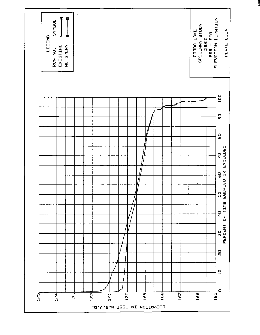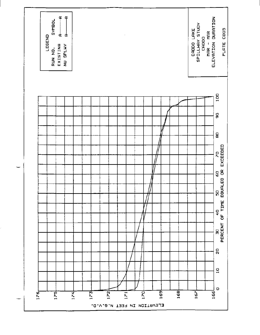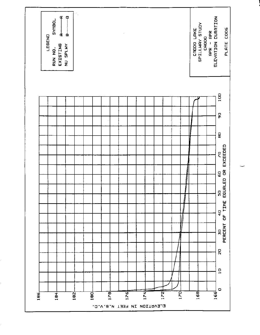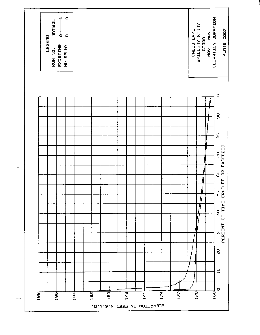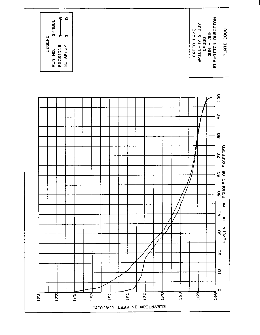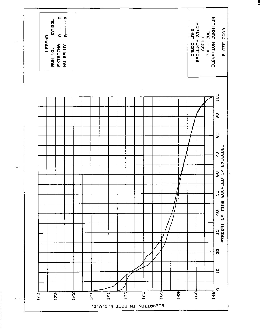

 $\overline{\phantom{0}}$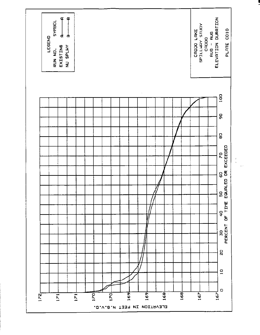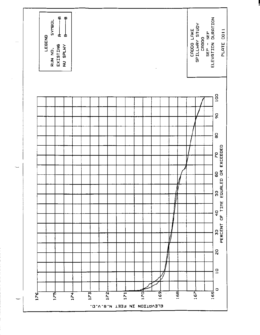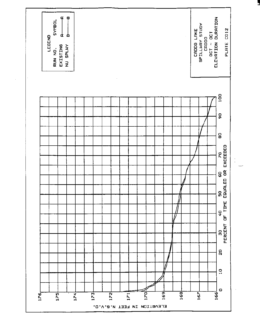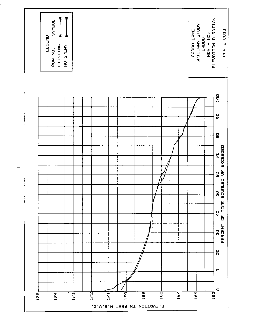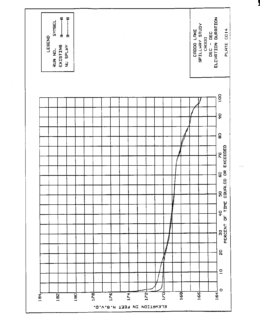

بريد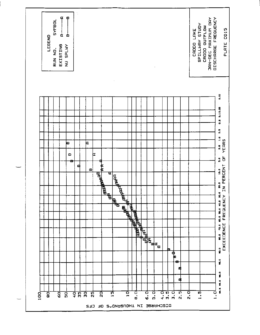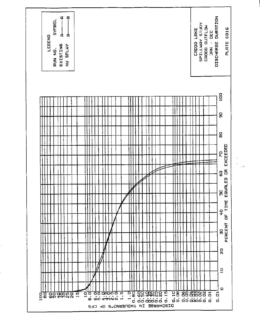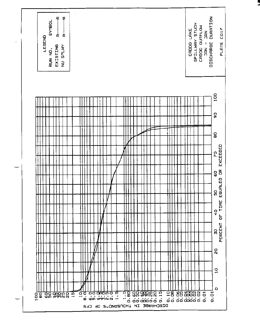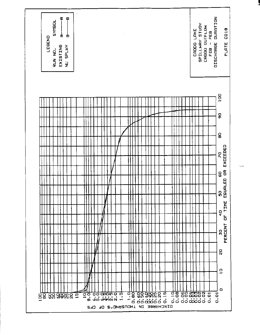

المسالين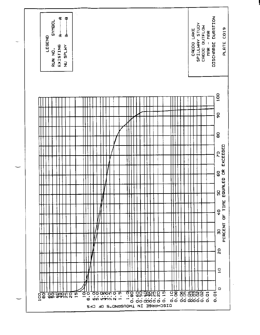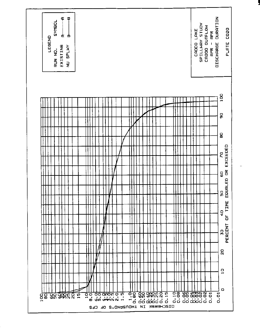

 $\overline{\phantom{a}}$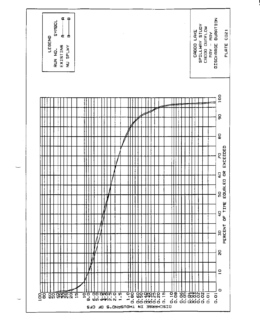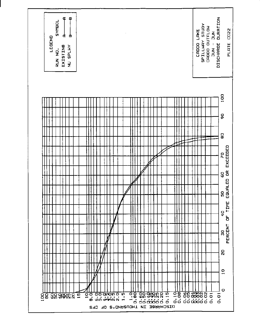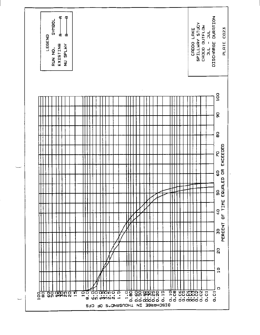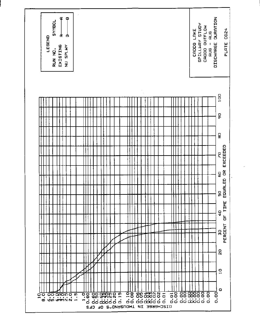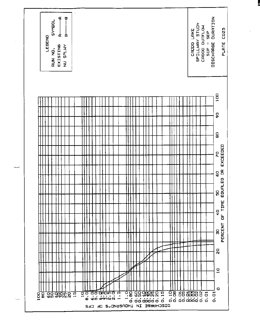

ł.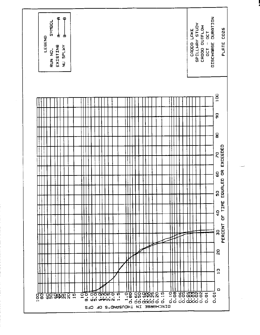

مست د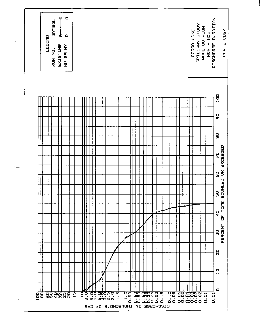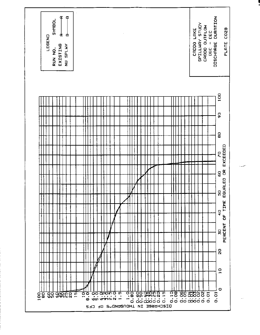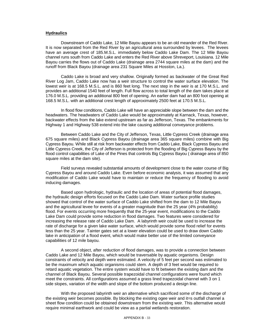## **Hydraulics**

Downstream of Caddo Lake, 12 Mile Bayou appears to be an old meander of the Red River. It is now separated from the Red River by an agricultural area surrounded by levees. The levees have an average crest of 185.M.S.L. immediately below Caddo Lake Dam. The 12 Mile Bayou channel runs south from Caddo Lake and enters the Red River above Shreveport, Louisiana. 12 Mile Bayou carries the flows out of Caddo Lake (drainage area 2744 square miles at the dam) and the runoff from Black Bayou (drainage area 231 Square Miles at Hosston, La.).

Caddo Lake is broad and very shallow. Originally formed as backwater of the Great Red River Log Jam, Caddo Lake now has a weir structure to control the water surface elevation. The lowest weir is at 168.5 M.S.L. and is 860 feet long. The next step in the weir is at 170 M.S.L. and provides an additional 1540 feet of length. Full flow across to total length of the dam takes place at 176.0 M.S.L. providing an additional 800 feet of opening. An earlier dam had an 800 foot opening at 168.5 M.S.L. with an additional crest length of approximately 2500 feet at 170.5 M.S.L.

In flood flow conditions, Caddo Lake will have an appreciable slope between the dam and the headwaters. The headwaters of Caddo Lake would be approximately at Karnack, Texas, however, backwater effects from the lake extend upstream as far as Jefferson, Texas. The embankments for Highway 1 and Highway 538 extend into the lake causing additional conveyance problems.

Between Caddo Lake and the City of Jefferson, Texas, Little Cypress Creek (drainage area 675 square miles) and Black Cypress Bayou (drainage area 365 square miles) combine with Big Cypress Bayou. While still at risk from backwater effects from Caddo Lake, Black Cypress Bayou and Little Cypress Creek, the City of Jefferson is protected from the flooding of Big Cypress Bayou by the flood control capabilities of Lake of the Pines that controls Big Cypress Bayou ( drainage area of 850 square miles at the dam site).

Field surveys revealed substantial amounts of development close to the water course of Big Cypress Bayou and around Caddo Lake. Even before economic analysis, it was assumed that any modification of Caddo Lake would have to maintain or reduce the frequency of flooding to avoid inducing damages.

Based upon hydrologic, hydraulic and the location of areas of potential flood damages, the hydraulic design efforts focused on the Caddo Lake Dam. Water surface profile studies showed that control of the water surface of Caddo Lake shifted from the dam to 12 Mile Bayou and the agricultural levee for events of a greater magnitude than the 25 year (4% probability) flood. For events occurring more frequently that the 25-year event, modifications to the Caddo Lake Dam could provide some reduction in flood damages. Two features were considered for increasing the release rate of Caddo Lake Dam. A labyrinth weir could be used to increase the rate of discharge for a given lake water surface, which would provide some flood relief for events less than the 25 year. Tainter gates set at a lower elevation could be used to draw down Caddo lake in anticipation of a flood event, which would make better use of the limited conveyance capabilities of 12 mile bayou.

A second object, after reduction of flood damages, was to provide a connection between Caddo Lake and 12 Mile Bayou, which would be traversable by aquatic organisms. Design constraints of velocity and depth were estimated. A velocity of 5 feet per second was estimated to be the maximum which aquatic organisms could stem. A depth of 3 feet would be required to retard aquatic vegetation. The entire system would have to fit between the existing dam and the channel of Black Bayou. Several possible trapezoidal channel configurations were found which meet the constraints. All configurations assumed a grass lined trapezoidal channel with 3 on 1 side slopes, variation of the width and slope of the bottom produced a design line.

With the proposed labyrinth weir an alternative which sacrificed some of the discharge of the existing weir becomes possible. By blocking the existing ogee weir and it=s outfall channel a sheet flow condition could be obtained downstream from the existing weir. This alternative would require minimal earthwork and could be view as a partial wetlands restoration.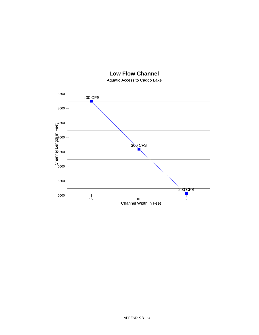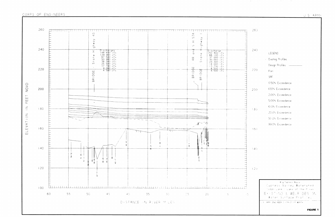



| 260   |                                                                                                            |
|-------|------------------------------------------------------------------------------------------------------------|
| 240   | LEGEND<br>- Existing Profiles                                                                              |
| 220   | Design Profiles<br>For:<br>SPF                                                                             |
| 200   | 0.50% Exceedence<br><b>LOO% Exceedence</b><br>2.00% Exceedence                                             |
| $+80$ | 5.00% Exceedence<br>10.0% Exceedence<br>20.0% Exceedence                                                   |
| 160   | 50.0% Exceedence<br>99.0% Exceedence                                                                       |
| (4)   |                                                                                                            |
| 120   |                                                                                                            |
|       | B g Cypress Bayou<br>Cypress Vailey Watershed<br>Daddo Lake - Lake of the Plines<br>EXISTING & WEIR DES GN |
|       | Water Surface Profiles<br>ARMY ENGINEER DISTRICT FT WORTH<br>$-5$                                          |
|       | <b>FIGURE 1</b>                                                                                            |

 $\mathcal{L}^{\mathcal{L}}(\mathcal{F})$  , where  $\mathcal{L}^{\mathcal{L}}(\mathcal{F})$  and  $\mathcal{L}^{\mathcal{L}}(\mathcal{F})$ 

 $\sim 80\%$  .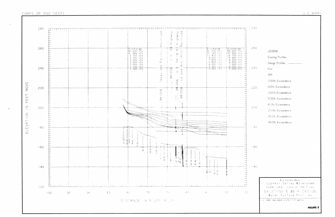

 $75$ 

DISTANCE IN RIVER MILES.

 $-8^\circ$ 

- 70-

 $55$ 

<u>Turi ini ilinggi saaristri ministri ini mishi mishi muhamma ini m</u>

 $85$ 

90.

# CORPS OF ENGINEERS

 $120$ 

 $+00-$ 

95

 $-280$ 

 $-50$ 

55

-695

|       | Water Surface Profiles<br>U.S. ARMY ENGINEER DISTRICT FT WORTH                                            |
|-------|-----------------------------------------------------------------------------------------------------------|
|       | Big Cypress Bayou<br>Cypress Valley Watershed<br>Caddo Lake - Lake of the Pines<br>Extsting & Welr deshgn |
| $+40$ |                                                                                                           |
| $+60$ |                                                                                                           |
|       |                                                                                                           |
| $-80$ | 99.0% Exceedence                                                                                          |
|       | 50.0% Exceedence                                                                                          |
| 200   | 20.0% Exceedence                                                                                          |
|       | IO.0% Exceedence                                                                                          |
|       | 2.00% Exceedence<br>5.00% Exceedence                                                                      |
| 220   | 1.00% Exceedence                                                                                          |
|       | 0.50% Exceedence                                                                                          |
|       | SPF                                                                                                       |
| 240   | For:                                                                                                      |
|       | Design Profiles -                                                                                         |
|       | LEGEND<br>Existing Profiles                                                                               |
| 260   |                                                                                                           |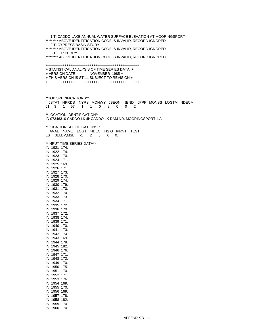1 TI CADDO LAKE ANNUAL WATER SURFACE ELEVATION AT MOORINGSPORT \*\*\*\*\*\*\*\*\* ABOVE IDENTIFICATION CODE IS INVALID, RECORD IGNORED 2 TI CYPRESS BASIN STUDY \*\*\*\*\*\*\*\*\* ABOVE IDENTIFICATION CODE IS INVALID, RECORD IGNORED 3 TI G.R.PERRY \*\*\*\*\*\*\*\*\* ABOVE IDENTIFICATION CODE IS INVALID, RECORD IGNORED +++++++++++++++++++++++++++++++++++++++++++++ + STATISTICAL ANALYSIS OF TIME SERIES DATA + + VERSION DATE NOVEMBER 1985 + + THIS VERSION IS STILL SUBJECT TO REVISION + +++++++++++++++++++++++++++++++++++++++++++++ \*\*JOB SPECIFICATIONS\*\* JSTAT NPRDS NYRS MONWY JBEGN JEND JPPF MONSS LOGTM NDECM J1 3 1 57 1 1 0 2 0 0 2 \*\*LOCATION IDENTIFICATION\*\* ID 07346310 CADDO LK @ CADDO LK DAM NR. MOORINGSPORT, LA. \*\*LOCATION SPECIFICATIONS\*\* IANAL NAME LOGT NDEC NSIG IPRNT TEST LS 3ELEV,MSL -1 2 5 0 0. \*\*INPUT TIME SERIES DATA\*\* IN 1921 174. IN 1922 174. IN 1923 170. IN 1924 171. IN 1925 169. IN 1926 171. IN 1927 173. IN 1928 170. IN 1929 174. IN 1930 179. IN 1931 170. IN 1932 174. IN 1933 173. IN 1934 171. IN 1935 172. IN 1936 170. IN 1937 172. IN 1938 174. IN 1939 171. IN 1940 170. IN 1941 173. IN 1942 174. IN 1943 169. IN 1944 178. IN 1945 182. IN 1946 176. IN 1947 171. IN 1948 172. IN 1949 170. IN 1950 175. IN 1951 170. IN 1952 171. IN 1953 176. IN 1954 169. IN 1955 170. IN 1956 169. IN 1957 178. IN 1958 182.

IN 1959 170. IN 1960 170.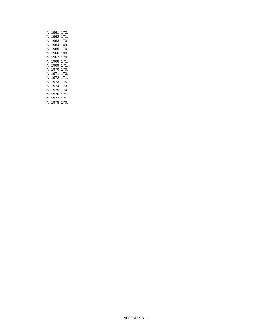| ΙN | 1961 | 173. |
|----|------|------|
| ΙN | 1962 | 171. |
| ΙN | 1963 | 170. |
| ΙN | 1964 | 169. |
| ΙN | 1965 | 170. |
| ΙN | 1966 | 180. |
| ΙN | 1967 | 170. |
| ΙN | 1968 | 171. |
| ΙN | 1969 | 171. |
| ΙN | 1970 | 170. |
| ΙN | 1971 | 170. |
| ΙN | 1972 | 171. |
| ΙN | 1973 | 175. |
| ΙN | 1974 | 173. |
| ΙN | 1975 | 174. |
| ΙN | 1976 | 171. |
| ΙN | 1977 | 171. |
| ΙN | 1978 | 170. |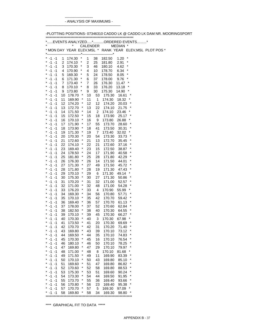------------------------ - ANALYSIS OF MAXIMUMS -

----------------------------------------------------------------

-PLOTTING POSITIONS- 07346310 CADDO LK @ CADDO LK DAM NR. MOORINGSPORT

|                                |          | * MON DAY YEAR ELEV, MSL * RANK YEAR ELEV, MSL PLOT POS * |                    |          | <b>CALENDER</b>    | ----*            | MEDIAN *       |         |  |  |
|--------------------------------|----------|-----------------------------------------------------------|--------------------|----------|--------------------|------------------|----------------|---------|--|--|
| $-1 -1$<br>*                   | 1        | $\ast$<br>174.30                                          |                    | 1        | 38                 | 182.50           | 1.20           | *       |  |  |
| *<br>$-1 -1$<br>×<br>$-1 -1$   | 2<br>3   | $\ast$<br>174.10<br>$\star$<br>170.30                     |                    | 2<br>3   | 25<br>46           | 181.80<br>180.10 | 2.91<br>4.62   | *<br>*  |  |  |
| *<br>$-1 - 1$                  | 4        | 170.90                                                    | ×                  | 4        | 10                 | 178.70           | 6.34           | ×       |  |  |
| *<br>$-1 -1$                   | 5        | 169.30                                                    | $\star$            | 5        | 24                 | 178.50           | 8.05           | *       |  |  |
| *<br>$-1 -1$                   | 6        | 171.30                                                    | ×                  | 6        | 37                 | 178.00           | 9.76           | *       |  |  |
| *<br>$-1 -1$<br>*              | 7        | 173.40                                                    | $\star$<br>$\star$ | 7        | 26                 | 176.30           | 11.47          |         |  |  |
| $-1 - 1$<br>*<br>$-1 -1$       | 8<br>9   | 170.10<br>173.80                                          | $\star$            | 8<br>9   | 33<br>30           | 176.20<br>175.30 | 13.18<br>14.90 | $\star$ |  |  |
| *<br>$-1 -1$                   | 10       | 178.70                                                    | $\ast$             | 10       | 53                 | 175.30           | 16.61          |         |  |  |
| ×<br>$-1 - 1$                  | 11       | 169.90                                                    | $\ast$             | 11       | 1                  | 174.30           | 18.32          |         |  |  |
| *<br>$-1 - 1$                  | 12       | 174.20                                                    | ×                  | 12       | 12                 | 174.20           | 20.03          |         |  |  |
| *<br>$-1 - 1$                  | 13       | 172.70                                                    | $\star$            | 13       | 22                 | 174.10           | 21.75          | *       |  |  |
| *<br>$-1 - 1$<br>×<br>$-1 - 1$ | 14<br>15 | 171.50<br>172.50                                          | $\star$<br>$\star$ | 14<br>15 | $\mathbf{2}$<br>18 | 174.10<br>173.90 | 23.46<br>25.17 |         |  |  |
| *<br>$-1 -1$                   | 16       | 170.10                                                    | $\star$            | 16       | 9                  | 173.80           | 26.88          | *       |  |  |
| *<br>$-1 - 1$                  | 17       | 171.90                                                    | $\ast$             | 17       | 55                 | 173.70           | 28.60          | *       |  |  |
| *<br>$-1 - 1$                  | 18       | 173.90                                                    | $\star$            | 18       | 41                 | 173.50           | 30.31          | *       |  |  |
| ×<br>$-1 - 1$                  | 19       | 171.30                                                    | $\star$            | 19       | $\overline{7}$     | 173.40           | 32.02          | *       |  |  |
| *<br>$-1 - 1$                  | 20       | 170.30                                                    | ×                  | 20       | 54                 | 173.30           | 33.73          | ×       |  |  |
| *<br>$-1 -1$<br>*              | 21       | 172.60                                                    | $\star$<br>$\star$ | 21       | 13                 | 172.70           | 35.45          | *<br>*  |  |  |
| $-1 -1$<br>*<br>$-1 -1$        | 22<br>23 | 174.10<br>169.40                                          | ×                  | 22<br>23 | 21<br>15           | 172.60<br>172.50 | 37.16<br>38.87 | *       |  |  |
| ×<br>$-1 - 1$                  | 24       | 178.50                                                    | $\star$            | 24       | 17                 | 171.90           | 40.58          | *       |  |  |
| *<br>$-1 - 1$                  | 25       | 181.80                                                    | ×                  | 25       | 28                 | 171.80           | 42.29          | *       |  |  |
| *<br>$-1 - 1$                  | 26       | 176.30                                                    | $\star$            | 26       | 14                 | 171.50           | 44.01          | *       |  |  |
| *<br>$-1 - 1$                  | 27       | 171.30                                                    | $\star$            | 27       | 49                 | 171.50           | 45.72          | *       |  |  |
| ×<br>$-1 - 1$                  | 28       | 171.80                                                    | $\star$            | 28       | 19                 | 171.30           | 47.43          |         |  |  |
| *<br>$-1 - 1$<br>*<br>$-1 - 1$ | 29<br>30 | 170.10<br>175.30                                          | $\star$<br>$\star$ | 29<br>30 | 6<br>27            | 171.30<br>171.30 | 49.14          | *       |  |  |
| *<br>$-1 - 1$                  | 31       | 170.20                                                    | ×                  | 31       | 32                 | 171.00           | 50.86<br>52.57 | *       |  |  |
| $-1 - 1$<br>*                  | 32       | 171.00                                                    | $\star$            | 32       | 48                 | 171.00           | 54.28          | *       |  |  |
| *<br>$-1 - 1$                  | 33       | 176.20                                                    | $\star$            | 33       | 4                  | 170.90           | 55.99          | *       |  |  |
| *<br>$-1 -1$                   | 34       | 169.30                                                    | $\star$            | 34       | 56                 | 170.80           | 57.71          | *       |  |  |
| *<br>$-1 - 1$                  | 35       | 170.10                                                    | $\star$            | 35       | 42                 | 170.70           | 59.42          | *<br>*  |  |  |
| *<br>$-1 - 1$<br>*<br>$-1 - 1$ | 36<br>37 | 169.40<br>178.00                                          | $\star$<br>$\star$ | 36<br>37 | 57<br>52           | 170.70<br>170.60 | 61.13<br>62.84 | *       |  |  |
| $-1 - 1$                       | 38       | 182.50                                                    | $\ast$             | 38       | 40                 | 170.30           | 64.55          | *       |  |  |
| *<br>$-1 - 1$                  | 39       | 170.10                                                    | $\star$            | 39       | 45                 | 170.30           | 66.27          | *       |  |  |
| $-1 -1$                        | 40       | 170.30                                                    | $\star$            | 40       | 3                  | 170.30           | 67.98          |         |  |  |
| *<br>$-1 -1$                   | 41       | 173.50                                                    | ×                  | 41       | 20                 | 170.30           | 69.69          | *       |  |  |
| -1<br>-1                       | 42       | 170.70                                                    |                    | 42       | 31                 | 170.20           | 71.40          |         |  |  |
| *<br>$-1 - 1$<br>$-1$<br>$-1$  | 43       | 169.80                                                    | *<br>$\star$       | 43       | 39                 | 170.10           | 73.12<br>74.83 | ×<br>*  |  |  |
| $-1$<br>$-1$<br>*              | 44<br>45 | 169.50<br>170.30                                          | ×                  | 44<br>45 | 35<br>16           | 170.10<br>170.10 | 76.54          | *       |  |  |
| $-1 - 1$                       | 46       | 180.10                                                    | *                  | 46       | 50                 | 170.10           | 78.25          | ×       |  |  |
| $-1$<br>*<br>-1                | 47       | 169.80                                                    | *                  | 47       | 29                 | 170.10           | 79.97          | *       |  |  |
| $-1 - 1$                       | 48       | 171.00                                                    | *                  | 48       | 8                  | 170.10           | 81.68          |         |  |  |
| $-1$<br>$-1$                   | 49       | 171.50                                                    | $\star$            | 49       | 11                 | 169.90           | 83.39          | ×       |  |  |
| $-1$<br>-1                     | 50       | 170.10                                                    | *                  | 50       | 43                 | 169.80           | 85.10          | *       |  |  |
| $-1$<br>$-1$<br>$-1$<br>$-1$   | 51<br>52 | 169.60<br>170.60                                          | *<br>$\ast$        | 51<br>52 | 47<br>58           | 169.80<br>169.80 | 86.82          | *<br>*  |  |  |
| $-1 - 1$                       | 53       | 175.30                                                    | $\ast$             | 53       | 51                 | 169.60           | 88.53<br>90.24 | *       |  |  |
| $-1$<br>$-1$                   | 54       | 173.30                                                    | $\star$            | 54       | 44                 | 169.50           | 91.95          | ×       |  |  |
| $-1$<br>-1                     | 55       | 173.70                                                    | *                  | 55       | 36                 | 169.40           | 93.66          | *       |  |  |
| $-1 - 1$                       | 56       | 170.80                                                    | *                  | 56       | 23                 | 169.40           | 95.38          |         |  |  |
| $-1 - 1$                       | 57       | 170.70                                                    | $\star$            | 57       | 5                  | 169.30           | 97.09          |         |  |  |
| -1<br>-1                       | 58       | 169.80                                                    | $\star$            | 58       | 34                 | 169.30           | 98.80          | *       |  |  |

\*\*\*\* GRAPHICAL FIT TO DATA \*\*\*\*\*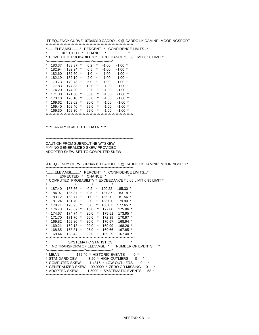APPENDIX B - 38

-FREQUENCY CURVE- 07346310 CADDO LK @ CADDO LK DAM NR. MOORINGSPORT \*\*\*\*\*\*\*\*\*\*\*\*\*\*\*\*\*\*\*\*\*\*\*\*\*\*\*\*\*\*\*\*\*\*\*\*\*\*\*\*\*\*\*\*\*\*\*\*\*\*\*\*\*\*\*\*\*\*\*\*\*\*\*\* \*........ELEV,MSL........\* PERCENT \*...CONFIDENCE LIMITS...\* \* EXPECTED \* CHANCE \* \* \* COMPUTED PROBABILITY \* EXCEEDANCE \* 0.05 LIMIT 0.95 LIMIT \* \*------------------------\*-------------\*----------------\* \* 187.40 188.66 \* 0.2 \* 190.22 185.30 \* \* 184.97 185.87 \* 0.5 \* 187.37 183.18 \* \* 183.12 183.77 \* 1.0 \* 185.20 181.56 \* \* 181.24 181.70 \* 2.0 \* 183.01 179.90 \* \* 178.71 178.95 \* 5.0 \* 180.07 177.65 \* \* 176.73 176.87 \* 10.0 \* 177.80 175.86 \* \* 174.67 174.74 \* 20.0 \* 175.51 173.95 \* \* 171.70 171.70 \* 50.0 \* 172.39 170.97 \* \* 169.82 169.80 \* 80.0 \* 170.57 168.94 \* \* 169.21 169.18 \* 90.0 \* 169.99 168.26 \* \* 168.85 168.81 \* 95.0 \* 169.66 167.85 \* \* 168.44 168.42 \* 99.0 \* 169.29 167.40 \* \*\*\*\*\*\*\*\*\*\*\*\*\*\*\*\*\*\*\*\*\*\*\*\*\*\*\*\*\*\*\*\*\*\*\*\*\*\*\*\*\*\*\*\*\*\*\*\*\*\*\*\*\*\*\*\*\*\*\*\*\*\*\*\*\* SYSTEMATIC STATISTICS \* NO TRANSFORM OF ELEV,MSL \* NUMBER OF EVENTS \* \*--------------------------------\*----------------------\* \* MEAN 172.46 \* HISTORIC EVENTS 0 \* \* STANDARD DEV 3.20 \* HIGH OUTLIERS 0 \* \* COMPUTED SKEW 1.4816 \* LOW OUTLIERS 0 \* \* GENERALIZED SKEW -99.0000 \* ZERO OR MISSING 0 \* \* ADOPTED SKEW 1.5000 \* SYSTEMATIC EVENTS 58 \*

\*\*\*\*\*\*\*\*\*\*\*\*\*\*\*\*\*\*\*\*\*\*\*\*\*\*\*\*\*\*\*\*\*\*\*\*\*\*\*\*\*\*\*\*\*\*\*\*\*\*\*\*\*\*\*\*\*\*\*\*\*\*\*\*

\*\*\*\*\*\*\*\*\*\*\*\*\*\*\*\*\*\*\*\*\*\*\*\*\*\*\*\*\*\*\*\*\*\*\*\*\*\*\*\*\*\*\*\*\*\*\*\*\*\*\*\*\*\*\*\*\*\*\*\*\*\*\*\* CAUTION FROM SUBROUTINE WTSKEW

\*\*\*\*\* NO GENERALIZED SKEW PROVIDED ADOPTED SKEW SET TO COMPUTED SKEW

\*\*\*\*\* ANALYTICAL FIT TO DATA \*\*\*\*\*

\* EXPECTED \* CHANCE \* \* \* COMPUTED PROBABILITY \* EXCEEDANCE \* 0.50 LIMIT 0.50 LIMIT \* \*------------------------\*-------------\*----------------\* \* 183.37 183.37 \* 0.2 \* -1.00 -1.00 \* \* 182.94 182.94 \* 0.5 \* -1.00 -1.00 \* \* 182.60 182.60 \* 1.0 \* -1.00 -1.00 \* \* 182.19 182.19 \* 2.0 \* -1.00 -1.00 \* \* 179.73 179.73 \* 5.0 \* -1.00 -1.00 \* \* 177.83 177.83 \* 10.0 \* -1.00 -1.00 \* \* 174.20 174.20 \* 20.0 \* -1.00 -1.00 \* \* 171.30 171.30 \* 50.0 \* -1.00 -1.00 \* \* 170.10 170.10 \* 80.0 \* -1.00 -1.00 \* \* 169.62 169.62 \* 90.0 \* -1.00 -1.00 \* \* 169.40 169.40 \* 95.0 \* -1.00 -1.00 \*  $*$  169.30 169.30  $*$  99.0  $*$  -1.00 -1.00  $*$ \*\*\*\*\*\*\*\*\*\*\*\*\*\*\*\*\*\*\*\*\*\*\*\*\*\*\*\*\*\*\*\*\*\*\*\*\*\*\*\*\*\*\*\*\*\*\*\*\*\*\*\*\*\*\*\*\*\*\*\*\*\*\*\*

\*........ELEV,MSL........\* PERCENT \*...CONFIDENCE LIMITS...\*

-FREQUENCY CURVE- 07346310 CADDO LK @ CADDO LK DAM NR. MOORINGSPORT \*\*\*\*\*\*\*\*\*\*\*\*\*\*\*\*\*\*\*\*\*\*\*\*\*\*\*\*\*\*\*\*\*\*\*\*\*\*\*\*\*\*\*\*\*\*\*\*\*\*\*\*\*\*\*\*\*\*\*\*\*\*\*\*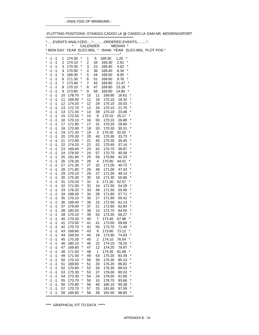------------------------ - ANALYSIS OF MINIMUMS -

----------------------------------------------------------------

-PLOTTING POSITIONS- 07346310 CADDO LK @ CADDO LK DAM NR. MOORINGSPORT

|                                |          |                                       | <b>CALENDER</b> |          |                  | MEDIAN *            |             | * MON DAY YEAR ELEV, MSL * RANK YEAR ELEV, MSL PLOT POS * |
|--------------------------------|----------|---------------------------------------|-----------------|----------|------------------|---------------------|-------------|-----------------------------------------------------------|
|                                |          |                                       |                 |          | ----------*      |                     |             |                                                           |
| $-1 -1$<br>*<br>×              | 1        | $\ast$<br>174.30                      | 1               | 5        | 169.30           | 1.20<br>*<br>*      |             |                                                           |
| $-1 - 1$<br>×<br>$-1 - 1$      | 2<br>3   | $\ast$<br>174.10<br>$\star$<br>170.30 | 2<br>3          | 34<br>23 | 169.30<br>169.40 | 2.91<br>*<br>4.62   |             |                                                           |
| *<br>$-1 - 1$                  | 4        | ×<br>170.90                           | 4               | 36       | 169.40           | *<br>6.34           |             |                                                           |
| *<br>$-1 -1$                   | 5        | $\star$<br>169.30                     | 5               | 44       | 169.50           | *<br>8.05           |             |                                                           |
| *<br>$-1 -1$                   | 6        | ×<br>171.30                           | 6               | 51       | 169.60           | 9.76                |             |                                                           |
| *<br>$-1 -1$                   | 7        | $\star$<br>173.40                     | 7               | 43       | 169.80           | 11.47               |             |                                                           |
| *<br>$-1 - 1$                  | 8        | $\star$<br>170.10                     | 8               | 47       | 169.80           | $\star$<br>13.18    |             |                                                           |
| *<br>$-1 -1$<br>*              | 9        | $\star$<br>173.80                     | 9               | 58       | 169.80           | 14.90               |             |                                                           |
| $-1 -1$<br>*<br>$-1 - 1$       | 10<br>11 | $\ast$<br>178.70<br>$\ast$<br>169.90  | 10<br>11        | 11<br>16 | 169.90<br>170.10 | 16.61<br>18.32      | $\ast$<br>* |                                                           |
| *<br>$-1 - 1$                  | 12       | ×<br>174.20                           | 12              | 29       | 170.10           | 20.03               | *           |                                                           |
| *<br>$-1 - 1$                  | 13       | $\star$<br>172.70                     | 13              | 35       | 170.10           | 21.75               | *           |                                                           |
| *<br>$-1 - 1$                  | 14       | $\star$<br>171.50                     | 14              | 39       | 170.10           | 23.46               |             |                                                           |
| *<br>$-1 - 1$                  | 15       | $\star$<br>172.50                     | 15              | 8        | 170.10           | 25.17               |             |                                                           |
| *<br>$-1 -1$                   | 16       | $\star$<br>170.10                     | 16              | 50       | 170.10           | 26.88               | *           |                                                           |
| *<br>$-1 - 1$                  | 17       | $\ast$<br>171.90                      | 17              | 31       | 170.20           | 28.60               |             |                                                           |
| *<br>$-1 - 1$<br>*<br>$-1 - 1$ | 18       | $\star$<br>173.90<br>$\star$          | 18              | 20       | 170.30           | 30.31<br>*          | *           |                                                           |
| *<br>$-1 - 1$                  | 19<br>20 | 171.30<br>$\star$<br>170.30           | 19<br>20        | 3<br>40  | 170.30<br>170.30 | 32.02<br>33.73      | ×           |                                                           |
| *<br>$-1 -1$                   | 21       | $\star$<br>172.60                     | 21              | 45       | 170.30           | 35.45               | *           |                                                           |
| *<br>$-1 -1$                   | 22       | $\star$<br>174.10                     | 22              | 52       | 170.60           | 37.16               | *           |                                                           |
| *<br>$-1 - 1$                  | 23       | $\star$<br>169.40                     | 23              | 42       | 170.70           | 38.87               | *           |                                                           |
| ×<br>$-1 - 1$                  | 24       | $\star$<br>178.50                     | 24              | 57       | 170.70           | 40.58               | *           |                                                           |
| *<br>$-1 - 1$                  | 25       | ×<br>181.80                           | 25              | 56       | 170.80           | 42.29               | *           |                                                           |
| *<br>$-1 - 1$<br>*             | 26       | $\star$<br>176.30<br>$\star$          | 26              | 4        | 170.90           | *<br>44.01          | ×           |                                                           |
| $-1 - 1$<br>*<br>$-1 - 1$      | 27<br>28 | 171.30<br>×<br>171.80                 | 27<br>28        | 32<br>48 | 171.00<br>171.00 | 45.72<br>47.43      | *           |                                                           |
| *<br>$-1 - 1$                  | 29       | $\star$<br>170.10                     | 29              | 27       | 171.30           | 49.14               | *           |                                                           |
| *<br>$-1 - 1$                  | 30       | $\star$<br>175.30                     | 30              | 19       | 171.30           | 50.86               |             |                                                           |
| *<br>$-1 - 1$                  | 31       | ×<br>170.20                           | 31              | 6        | 171.30           | 52.57<br>*          |             |                                                           |
| $-1 - 1$<br>*                  | 32       | $\star$<br>171.00                     | 32              | 14       | 171.50           | 54.28               | *           |                                                           |
| *<br>$-1 - 1$                  | 33       | $\star$<br>176.20                     | 33              | 49       | 171.50           | 55.99               | *           |                                                           |
| *<br>$-1 -1$                   | 34       | $\star$<br>169.30                     | 34              | 28       | 171.80           | 57.71               | *<br>*      |                                                           |
| *<br>$-1 - 1$<br>*             | 35       | $\star$<br>170.10<br>$\star$          | 35              | 17       | 171.90           | 59.42               | *           |                                                           |
| $-1 - 1$<br>*<br>$-1 - 1$      | 36<br>37 | 169.40<br>$\star$<br>178.00           | 36<br>37        | 15<br>21 | 172.50<br>172.60 | 61.13<br>62.84      | *           |                                                           |
| $-1 - 1$                       | 38       | $\ast$<br>182.50                      | 38              | 13       | 172.70           | 64.55               | *           |                                                           |
| *<br>$-1 - 1$                  | 39       | $\star$<br>170.10                     | 39              | 54       | 173.30           | 66.27               |             |                                                           |
| $-1 -1$                        | 40       | $\star$<br>170.30                     | 40              | 7        | 173.40           | 67.98               |             |                                                           |
| *<br>$-1 - 1$                  | 41       | ×<br>173.50                           | 41              | 41       | 173.50           | 69.69               | *           |                                                           |
| -1<br>-1                       | 42       | 170.70                                | 42              | 55       | 1/3.70           | (1.40)              |             |                                                           |
| *<br>$-1 - 1$                  | 43       | *<br>169.80                           | 43              | 9        | 173.80           | *<br>73.12          | ×           |                                                           |
| $-1$<br>$-1$<br>$-1 - 1$<br>*  | 44<br>45 | $\star$<br>169.50<br>$\ast$<br>170.30 | 44<br>45        | 18<br>2  | 173.90<br>174.10 | 74.83<br>*<br>76.54 |             |                                                           |
| $-1 - 1$                       | 46       | 180.10<br>*                           | 46              | 22       | 174.10           | 78.25               | *           |                                                           |
| $-1$<br>*<br>-1                | 47       | *<br>169.80                           | 47              | 12       | 174.20           | 79.97               | *           |                                                           |
| $-1 - 1$                       | 48       | *<br>171.00                           | 48              | 1        | 174.30           | 81.68               |             |                                                           |
| $-1$<br>$-1$                   | 49       | $\star$<br>171.50                     | 49              | 53       | 175.30           | 83.39               | ×           |                                                           |
| $-1$<br>-1                     | 50       | *<br>170.10                           | 50              | 30       | 175.30           | 85.10               | *           |                                                           |
| $-1 - 1$                       | 51       | *<br>169.60                           | 51              | 33       | 176.20           | 86.82               | *           |                                                           |
| *<br>$-1 - 1$                  | 52       | 170.60<br>$\ast$                      | 52              | 26       | 176.30           | 88.53               | *<br>*      |                                                           |
| $-1 - 1$<br>*<br>$-1 - 1$<br>* | 53<br>54 | $\ast$<br>175.30<br>173.30<br>$\ast$  | 53<br>54        | 37<br>24 | 178.00<br>178.50 | 90.24<br>91.95      | ×           |                                                           |
| $-1$<br>*<br>-1                | 55       | *<br>173.70                           | 55              | 10       | 178.70           | 93.66               | *           |                                                           |
| $-1 - 1$                       | 56       | 170.80<br>*                           | 56              | 46       | 180.10           | 95.38               | *           |                                                           |
| $-1 - 1$                       | 57       | $\star$<br>170.70                     | 57              | 25       | 181.80           | 97.09               | ×           |                                                           |
| -1<br>-1                       | 58       | ×<br>169.80                           | 58              | 38       | 182.50           | 98.80               | *           |                                                           |
|                                |          |                                       |                 |          |                  |                     |             |                                                           |

\*\*\*\* GRAPHICAL FIT TO DATA \*\*\*\*\*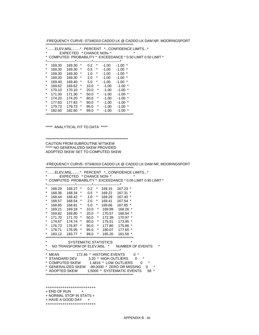++++++++++++++++++++++++  $+$  END OF RUN  $+$ + NORMAL STOP IN STATS + + HAVE A GOOD DAY + ++++++++++++++++++++++++

\* 168.57 168.54 \* 2.0 \* 169.41 167.54 \* \* 168.85 168.81 \* 5.0 \* 169.66 167.85 \* \* 169.21 169.18 \* 10.0 \* 169.99 168.26 \* \* 169.82 169.80 \* 20.0 \* 170.57 168.94 \* \* 171.70 171.70 \* 50.0 \* 172.39 170.97 \* \* 174.67 174.74 \* 80.0 \* 175.51 173.95 \* \* 176.73 176.87 \* 90.0 \* 177.80 175.86 \* \* 178.71 178.95 \* 95.0 \* 180.07 177.65 \* \* 183.12 183.77 \* 99.0 \* 185.20 181.56 \* \*\*\*\*\*\*\*\*\*\*\*\*\*\*\*\*\*\*\*\*\*\*\*\*\*\*\*\*\*\*\*\*\*\*\*\*\*\*\*\*\*\*\*\*\*\*\*\*\*\*\*\*\*\*\*\*\*\*\*\*\*\*\*\* SYSTEMATIC STATISTICS \* NO TRANSFORM OF ELEV,MSL \* NUMBER OF EVENTS \* \*--------------------------------\*-----------------------------\* \* MEAN 172.46 \* HISTORIC EVENTS 0 \* \* STANDARD DEV 3.20 \* HIGH OUTLIERS 0 \* \* COMPUTED SKEW 1.4816 \* LOW OUTLIERS 0 \* \* GENERALIZED SKEW -99.0000 \* ZERO OR MISSING 0 \* \* ADOPTED SKEW 1.5000 \* SYSTEMATIC EVENTS 58 \*

\*\*\*\*\*\*\*\*\*\*\*\*\*\*\*\*\*\*\*\*\*\*\*\*\*\*\*\*\*\*\*\*\*\*\*\*\*\*\*\*\*\*\*\*\*\*\*\*\*\*\*\*\*\*\*\*\*\*\*\*\*\*\*\*

\*\*\*\*\*\*\*\*\*\*\*\*\*\*\*\*\*\*\*\*\*\*\*\*\*\*\*\*\*\*\*\*\*\*\*\*\*\*\*\*\*\*\*\*\*\*\*\*\*\*\*\*\*\*\*\*\*\*\*\* CAUTION FROM SUBROUTINE WTSKEW \*\*\*\*\* NO GENERALIZED SKEW PROVIDED ADOPTED SKEW SET TO COMPUTED SKEW

\*\*\*\*\*\*\*\*\*\*\*\*\*\*\*\*\*\*\*\*\*\*\*\*\*\*\*\*\*\*\*\*\*\*\*\*\*\*\*\*\*\*\*\*\*\*\*\*\*\*\*\*\*\*\*\*\*\*\*\*\*\*\*\*

\*------------------------\*-------------\*-----------------------\* \* 168.29 168.27 \* 0.2 \* 169.15 167.23 \* \* 168.36 168.34 \* 0.5 \* 169.22 167.31 \* \* 168.44 168.42 \* 1.0 \* 169.29 167.40 \*

\*........ELEV,MSL........\* PERCENT \*...CONFIDENCE LIMITS...\* \* EXPECTED \* CHANCE NON- \* \*

\* COMPUTED PROBABILITY \* EXCEEDANCE \* 0.05 LIMIT 0.95 LIMIT \*

\*\*\*\*\* ANALYTICAL FIT TO DATA \*\*\*\*\*

\* EXPECTED \* CHANCE NON- \* \* \* COMPUTED PROBABILITY \* EXCEEDANCE \* 0.50 LIMIT 0.50 LIMIT \* \*------------------------\*-------------\*-----------------------\* \* 169.30 169.30 \* 0.2 \* -1.00 -1.00 \* \* 169.30 169.30 \* 0.5 \* -1.00 -1.00 \* \* 169.30 169.30 \* 1.0 \* -1.00 -1.00 \* \* 169.30 169.30 \* 2.0 \* -1.00 -1.00 \* \* 169.40 169.40 \* 5.0 \* -1.00 -1.00 \* \* 169.62 169.62 \* 10.0 \* -1.00 -1.00 \* \* 170.10 170.10 \* 20.0 \* -1.00 -1.00 \* \* 171.30 171.30 \* 50.0 \* -1.00 -1.00 \* \* 174.20 174.20 \* 80.0 \* -1.00 -1.00 \* \* 177.83 177.83 \* 90.0 \* -1.00 -1.00 \* \* 179.73 179.73 \* 95.0 \* -1.00 -1.00 \* \* 182.60 182.60 \* 99.0 \* -1.00 -1.00 \* \*\*\*\*\*\*\*\*\*\*\*\*\*\*\*\*\*\*\*\*\*\*\*\*\*\*\*\*\*\*\*\*\*\*\*\*\*\*\*\*\*\*\*\*\*\*\*\*\*\*\*\*\*\*\*\*\*\*\*\*\*\*\*\*

\*........ELEV,MSL........\* PERCENT \*...CONFIDENCE LIMITS...\*

-FREQUENCY CURVE-07346310 CADDO LK @ CADDO LK DAM NR. MOORINGSPORT \*\*\*\*\*\*\*\*\*\*\*\*\*\*\*\*\*\*\*\*\*\*\*\*\*\*\*\*\*\*\*\*\*\*\*\*\*\*\*\*\*\*\*\*\*\*\*\*\*\*\*\*\*\*\*\*\*\*\*\*\*\*\*\*

-FREQUENCY CURVE- 07346310 CADDO LK @ CADDO LK DAM NR. MOORINGSPORT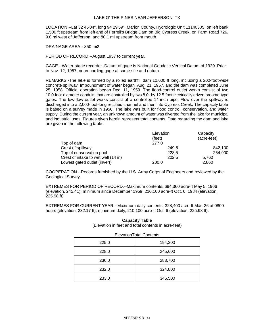LOCATION.--Lat 32 45'04", long 94 29'59", Marion County, Hydrologic Unit 11140305, on left bank 1,500 ft upstream from left and of Ferrell's Bridge Dam on Big Cypress Creek, on Farm Road 726, 9.0 mi west of Jefferson, and 80.1 mi upstream from mouth.

DRAINAGE AREA.--850 mi2.

PERIOD OF RECORD.--August 1957 to current year.

GAGE.--Water-stage recorder. Datum of gage is National Geodetic Vertical Datum of 1929. Prior to Nov. 12, 1957, nonrecording gage at same site and datum.

REMARKS.-The lake is formed by a rolled earthfill dam 10,600 ft long, including a 200-foot-wide concrete spillway. Impoundment of water began Aug. 21, 1957, and the dam was completed June 25, 1958. Official operation began Dec. 11, 1959. The flood-control outlet works consist of two 10.0-foot-diameter conduits that are controlled by two 8.0- by 12.5-foot electrically driven broome-type gates. The low-flow outlet works consist of a controlled 14-inch pipe. Flow over the spillway is discharged into a 2,000-foot-long rectified channel and then into Cypress Creek. The capacity table is based on a survey made in 1950. The lake was built for flood control, conservation, and water supply. During the current year, an unknown amount of water was diverted from the lake for municipal and industrial uses. Figures given herein represent total contents. Data regarding the dam and lake are given in the following table:

|                                     | Elevation | Capacity    |
|-------------------------------------|-----------|-------------|
|                                     | (feet)    | (acre-feet) |
| Top of dam                          | 277.0     |             |
| Crest of spillway                   | 249.5     | 842,100     |
| Top of conservation pool            | 228.5     | 254.900     |
| Crest of intake to wet well (14 in) | 202.5     | 5.760       |
| Lowest gated outlet (invert)        | 200.0     | 2,860       |

COOPERATION.--Records furnished by the U.S. Army Corps of Engineers and reviewed by the Geological Survey.

EXTREMES FOR PERIOD OF RECORD.--Maximum contents, 694,360 acre-ft May 5, 1966 (elevation, 245.41); minimum since December 1959, 210,100 acre-ft Oct. 6, 1984 (elevation, 225.98 ft).

EXTREMES FOR CURRENT YEAR.--Maximum daily contents, 328,400 acre-ft Mar. 26 at 0800 hours (elevation, 232.17 ft); minimum daily, 210,100 acre-ft Oct. 6 (elevation, 225.98 ft).

| $\frac{1}{2}$ . The results in the result of the set of the set of the results in the results in the set of the set of the set of the set of the set of the set of the set of the set of the set of the set of the set of the set |         |  |  |  |  |  |
|-----------------------------------------------------------------------------------------------------------------------------------------------------------------------------------------------------------------------------------|---------|--|--|--|--|--|
| <b>ElevationTotal Contents</b>                                                                                                                                                                                                    |         |  |  |  |  |  |
| 225.0                                                                                                                                                                                                                             | 194,300 |  |  |  |  |  |
| 228.0                                                                                                                                                                                                                             | 245,600 |  |  |  |  |  |
| 230.0                                                                                                                                                                                                                             | 283,700 |  |  |  |  |  |
| 232.0                                                                                                                                                                                                                             | 324,800 |  |  |  |  |  |
| 233.0                                                                                                                                                                                                                             | 346,500 |  |  |  |  |  |

**Capacity Table** (Elevation in feet and total contents in acre-feet)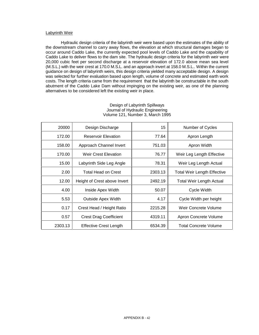## Labyrinth Weir

Hydraulic design criteria of the labyrinth weir were based upon the estimates of the ability of the downstream channel to carry away flows, the elevation at which structural damages began to occur around Caddo Lake, the currently expected pool levels of Caddo Lake and the capability of Caddo Lake to deliver flows to the dam site. The hydraulic design criteria for the labyrinth weir were 20,000 cubic feet per second discharge at a reservoir elevation of 172.0 above mean sea level (M.S.L.) with the weir crest at 170.0 M.S.L. and an approach invert at 158.0 M.S.L.. Within the current guidance on design of labyrinth weirs, this design criteria yielded many acceptable design. A design was selected for further evaluation based upon length, volume of concrete and estimated earth work costs. The length criteria came from the requirement that the labyrinth be constructable in the south abutment of the Caddo Lake Dam without impinging on the existing weir, as one of the planning alternatives to be considered left the existing weir in place.

| 20000   | Design Discharge              | 15      | Number of Cycles                   |
|---------|-------------------------------|---------|------------------------------------|
| 172.00  | <b>Reservoir Elevation</b>    | 77.64   | Apron Length                       |
| 158.00  | Approach Channel Invert       | 751.03  | Apron Width                        |
| 170.00  | <b>Weir Crest Elevation</b>   | 76.77   | Weir Leg Length Effective          |
| 15.00   | Labyrinth Side Leg Angle      | 78.31   | Weir Leg Length Actual             |
| 2.00    | Total Head on Crest           | 2303.13 | <b>Total Weir Length Effective</b> |
| 12.00   | Height of Crest above Invert  | 2492.19 | <b>Total Weir Length Actual</b>    |
| 4.00    | Inside Apex Width             | 50.07   | Cycle Width                        |
| 5.53    | <b>Outside Apex Width</b>     | 4.17    | Cycle Width per height             |
| 0.17    | Crest Head / Height Ratio     | 2215.28 | Weir Concrete Volume               |
| 0.57    | <b>Crest Drag Coefficient</b> | 4319.11 | Apron Concrete Volume              |
| 2303.13 | <b>Effective Crest Length</b> | 6534.39 | <b>Total Concrete Volume</b>       |

# Design of Labyrinth Spillways Journal of Hydraulic Engineering Volume 121, Number 3, March 1995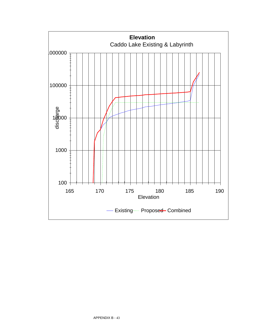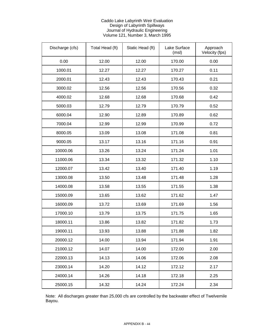# Caddo Lake Labyrinth Weir Evaluation Design of Labyrinth Spillways Journal of Hydraulic Engineering Volume 121, Number 3, March 1995

| Discharge (cfs) | Total Head (ft) | Static Head (ft) | Lake Surface<br>(msl) | Approach<br>Velocity (fps) |
|-----------------|-----------------|------------------|-----------------------|----------------------------|
| 0.00            | 12.00           | 12.00            | 170.00                | 0.00                       |
| 1000.01         | 12.27           | 12.27            | 170.27                | 0.11                       |
| 2000.01         | 12.43           | 12.43            | 170.43                | 0.21                       |
| 3000.02         | 12.56           | 12.56            | 170.56                | 0.32                       |
| 4000.02         | 12.68           | 12.68            | 170.68                | 0.42                       |
| 5000.03         | 12.79           | 12.79            | 170.79                | 0.52                       |
| 6000.04         | 12.90           | 12.89            | 170.89                | 0.62                       |
| 7000.04         | 12.99           | 12.99            | 170.99                | 0.72                       |
| 8000.05         | 13.09           | 13.08            | 171.08                | 0.81                       |
| 9000.05         | 13.17           | 13.16            | 171.16                | 0.91                       |
| 10000.06        | 13.26           | 13.24            | 171.24                | 1.01                       |
| 11000.06        | 13.34           | 13.32            | 171.32                | 1.10                       |
| 12000.07        | 13.42           | 13.40            | 171.40                | 1.19                       |
| 13000.08        | 13.50           | 13.48            | 171.48                | 1.28                       |
| 14000.08        | 13.58           | 13.55            | 171.55                | 1.38                       |
| 15000.09        | 13.65           | 13.62            | 171.62                | 1.47                       |
| 16000.09        | 13.72           | 13.69            | 171.69                | 1.56                       |
| 17000.10        | 13.79           | 13.75            | 171.75                | 1.65                       |
| 18000.11        | 13.86           | 13.82            | 171.82                | 1.73                       |
| 19000.11        | 13.93           | 13.88            | 171.88                | 1.82                       |
| 20000.12        | 14.00           | 13.94            | 171.94                | 1.91                       |
| 21000.12        | 14.07           | 14.00            | 172.00                | 2.00                       |
| 22000.13        | 14.13           | 14.06            | 172.06                | 2.08                       |
| 23000.14        | 14.20           | 14.12            | 172.12                | 2.17                       |
| 24000.14        | 14.26           | 14.18            | 172.18                | 2.25                       |
| 25000.15        | 14.32           | 14.24            | 172.24                | 2.34                       |

Note: All discharges greater than 25,000 cfs are controlled by the backwater effect of Twelvemile Bayou.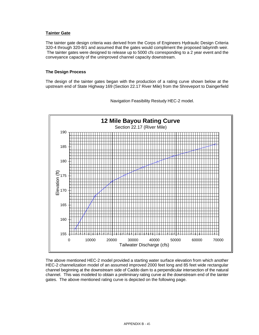# **Tainter Gate**

The tainter gate design criteria was derived from the Corps of Engineers Hydraulic Design Criteria 320-4 through 320-8/1 and assumed that the gates would compliment the proposed labyrinth weir. The tainter gates were designed to release up to 5000 cfs corresponding to a 2 year event and the conveyance capacity of the uninproved channel capacity downstream.

## **The Design Process**

The design of the tainter gates began with the production of a rating curve shown below at the upstream end of State Highway 169 (Section 22.17 River Mile) from the Shreveport to Daingerfield



Navigation Feasibility Restudy HEC-2 model.

The above mentioned HEC-2 model provided a starting water surface elevation from which another HEC-2 channelization model of an assumed improved 2000 feet long and 85 feet wide rectangular channel beginning at the downstream side of Caddo dam to a perpendicular intersection of the natural channel. This was modeled to obtain a preliminary rating curve at the downstream end of the tainter gates. The above mentioned rating curve is depicted on the following page.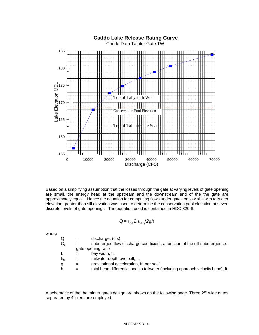

Based on a simplifying assumption that the losses through the gate at varying levels of gate opening are small, the energy head at the upstream and the downstream end of the the gate are approximately equal. Hence the equation for computing flows under gates on low sills with tailwater elevation greater than sill elevation was used to determine the conservation pool elevation at seven discrete levels of gate openings. The equation used is contained in HDC 320-8.

$$
Q = C_s L h_s \sqrt{2gh}
$$

where

 $Q =$  discharge,  $(cfs)$ 

| $C_{\rm s}$ | $=$ | submerged flow discharge coefficient, a function of the sill submergence- |
|-------------|-----|---------------------------------------------------------------------------|
|             |     | gate opening ratio                                                        |
|             | $=$ | bay width, ft.                                                            |
| $h_{\rm s}$ | $=$ | tailwater depth over sill, ft.                                            |

 $g =$  gravitational acceleration, ft. per sec<sup>2</sup>

h = total head differential pool to tailwater (including approach velocity head), ft.

A schematic of the the tainter gates design are shown on the following page. Three 25' wide gates separated by 4' piers are employed.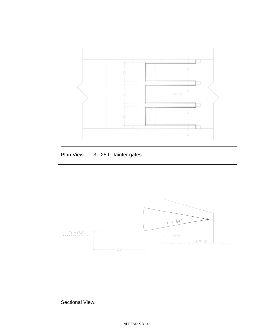

Plan View 3 - 25 ft. tainter gates



Sectional View.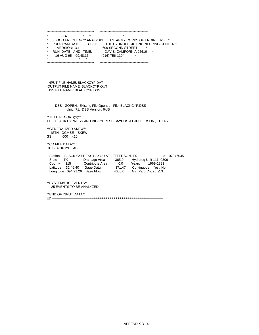\*\*\*\*\*\*\*\*\*\*\*\*\*\*\*\*\*\*\*\*\*\*\*\*\*\*\*\*\*\*\*\*\*\*\*\* \*\*\*\*\*\*\*\*\*\*\*\*\*\*\*\*\*\*\*\*\*\*\*\*\*\*\*\*\*\*\*\*\*\*\*\*\* \* FFA \* \* \* \* FLOOD FREQUENCY ANALYSIS U.S. ARMY CORPS OF ENGINEERS \* \* PROGRAM DATE: FEB 1995 THE HYDROLOGIC ENGINEERING CENTER \* \* VERSION: 3.1 609 SECOND STREET \* \* RUN DATE AND TIME: DAVIS, CALIFORNIA 95616 \* \* 16 AUG 95 09:48:16 (916) 756-1104 \* \* \* \* \* \*\*\*\*\*\*\*\*\*\*\*\*\*\*\*\*\*\*\*\*\*\*\*\*\*\*\*\*\*\*\*\*\*\*\*\* \*\*\*\*\*\*\*\*\*\*\*\*\*\*\*\*\*\*\*\*\*\*\*\*\*\*\*\*\*\*\*\*\*\*\*\*\*

 INPUT FILE NAME: BLACKCYP.DAT OUTPUT FILE NAME: BLACKCYP.OUT DSS FILE NAME: BLACKCYP.DSS

 -----DSS---ZOPEN: Existing File Opened, File: BLACKCYP.DSS Unit: 71; DSS Version: 6-JB

\*\*TITLE RECORD(S)\*\*

TT BLACK CYPRESS AND BIGCYPRESS BAYOUS AT JEFFERSON , TEXAS

 \*\*GENERALIZED SKEW\*\* ISTN GGMSE SKEW GS .000 -.10

 \*\*CD FILE DATA\*\* CD BLACKCYP.TAB

Station BLACK CYPRESS BAYOU AT JEFFERSON, TX Id 07346045 State TX Drainage Area 365.0 Hydrolog Unit 11140306 County 315 Contribute Area 0.0 Years 1969-1993 Latitude 32:46:40 Gage Datum 171.47 Continuous Yes / No Longitude 094:21:26 Base Flow 4000.0 Ann/Part Cnt 25 /13

 \*\*SYSTEMATIC EVENTS\*\* 25 EVENTS TO BE ANALYZED

 \*\*END OF INPUT DATA\*\* ED ++++++++++++++++++++++++++++++++++++++++++++++++++++++++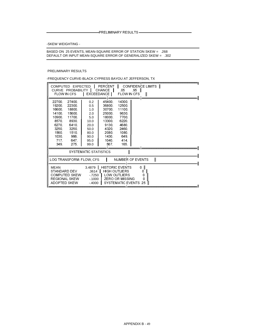-PRELIMINARY RESULTS-

-SKEW WEIGHTING -

BASED ON 25 EVENTS, MEAN-SQUARE ERROR OF STATION SKEW = .268<br>DEFAULT OR INPUT MEAN-SQUARE ERROR OF GENERALIZED SKEW = .302

### PRELIMINARY RESULTS

-FREQUENCY CURVE-BLACK CYPRESS BAYOU AT JEFFERSON, TX

| COMPUTED EXPECTED  <br>FLOW IN CFS                                                                     | CURVE PROBABILITY                                                                                                                                                                                                                                                                   |                                                                                                      | PERCENT   CONFIDENCE LIMITS   <br>CHANCE   05<br>  EXCEEDANCE   FLOW IN CFS                              |                                                                                                         | $95$ | $\mathsf{I}$ |  |  |  |
|--------------------------------------------------------------------------------------------------------|-------------------------------------------------------------------------------------------------------------------------------------------------------------------------------------------------------------------------------------------------------------------------------------|------------------------------------------------------------------------------------------------------|----------------------------------------------------------------------------------------------------------|---------------------------------------------------------------------------------------------------------|------|--------------|--|--|--|
| 22700<br>19200.<br>16600.<br>14100.<br>10900<br>8570<br>6270.<br>3250.<br>1560.<br>1030.<br>717<br>349 | 27400<br>22300<br>18800.<br>15600<br>11700.<br>8930.<br>6410.<br>3250<br>1510.<br>966<br>647.<br>275.                                                                                                                                                                               | 0.2 <sub>0</sub><br>0.5<br>1.0<br>2.0<br>5.0<br>10.0<br>20.0<br>50.0<br>80.0<br>90.0<br>95.0<br>99.0 | 45400<br>36800<br>30700<br>25000<br>18000<br>13300.<br>9130.<br>4320.<br>2080.<br>1430.<br>1040.<br>567. | 14300.<br>12500.<br>11100.<br>9630.<br>7700.<br>6220.<br>4680.<br>2460<br>1080.<br>649.<br>414.<br>165. |      |              |  |  |  |
|                                                                                                        | SYSTEMATIC STATISTICS                                                                                                                                                                                                                                                               |                                                                                                      |                                                                                                          |                                                                                                         |      |              |  |  |  |
|                                                                                                        | $\mathbf l$<br>LOG TRANSFORM FLOW CFS<br><b>NUMBER OF EVENTS</b>                                                                                                                                                                                                                    |                                                                                                      |                                                                                                          |                                                                                                         |      |              |  |  |  |
| <b>MEAN</b>                                                                                            | <b>HISTORIC EVENTS</b><br>0 <sub>1</sub><br>$3.4879$  <br>STANDARD DEV<br>3614<br><b>HIGH OUTLIERS</b><br>0<br><b>COMPUTED SKEW</b><br>LOW OUTLIERS<br>-.7250<br>0<br><b>REGIONAL SKEW</b><br>ZERO OR MISSING<br>$-1000$<br>0<br>SYSTEMATIC EVENTS<br>ADOPTED SKEW<br>$-4000$<br>25 |                                                                                                      |                                                                                                          |                                                                                                         |      |              |  |  |  |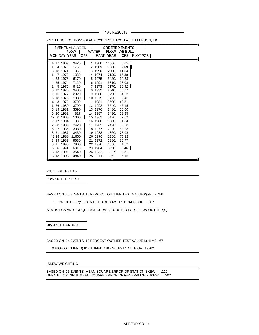- FINAL RESULTS -

| EVENTS ANALYZED           |                |                           |                |                | ORDERED EVENTS                           |
|---------------------------|----------------|---------------------------|----------------|----------------|------------------------------------------|
|                           |                | FLOW   WATER FLOW WEIBULL |                |                |                                          |
|                           |                |                           |                |                | MONDAY YEAR CFS   RANK YEAR CFS PLOT POS |
|                           |                |                           |                |                |                                          |
| 4 17 1969                 | 3420.          | 1 1988                    | 11600.         | 3.85           |                                          |
| 4 1970                    | 1760.          | 2 1989                    | 9630.          | 7.69           |                                          |
| 18 1971<br>3              | 362.           | 3 1990                    | 7900.          | 11.54          |                                          |
| 7 1972<br>1               | 1380.          | 4 1974                    | 7120.          | 15.38          |                                          |
| 28 1973<br>4              | 6170.          | 5 1975                    | 6420.          | 19.23          |                                          |
| 25 1974<br>4              | 7120.          | 6 1991                    | 6310.          | 23.08          |                                          |
| 5 1975<br>2               | 6420.          | 7 1973                    | 6170.          | 26.92          |                                          |
| 12 1976<br>3              | 3480.          | 8 1993                    | 4840.          | 30.77          |                                          |
| 16 1977<br>$\overline{2}$ | 2320.          | 9 1980                    | 3790.          | 34.62          |                                          |
| 18 1978<br>5              | 1330.          | 10 1979                   | 3700.          | 38.46          |                                          |
| 3 1979<br>4               | 3700.          | 11 1981                   | 3590.          | 42.31          |                                          |
| 26 1980                   | 3790.          | 12 1992                   | 3540.          | 46.15          |                                          |
| 5 19 1981                 | 3590.          | 13 1976                   | 3480.          | 50.00          |                                          |
| 5 20 1982                 | 827.           | 14 1987                   | 3430.          | 53.85          |                                          |
| 12 8 1983                 | 1860.          | 15 1969                   | 3420.          | 57.69          |                                          |
| 2 17 1984                 | 836.           | 16 1986                   | 3380.          | 61.54          |                                          |
| 2 28 1985                 | 2420.          | 17 1985                   | 2420.          | 65.38          |                                          |
| 6 27 1986                 | 3380.          | 18 1977                   | 2320.          | 69.23          |                                          |
| 3 21 1987<br>12 28 1988   | 3430.          | 19 1983                   | 1860.          | 73.08          |                                          |
|                           | 11600.         | 20 1970                   | 1760.          | 76.92          |                                          |
| 3 29 1989<br>3 11 1990    | 9630.<br>7900. | 21 1972<br>22 1978        | 1380.<br>1330. | 80.77<br>84.62 |                                          |
| 6 1991<br>5               | 6310.          | 23 1984                   |                |                |                                          |
| 3 13 1992                 |                | 24 1982                   | 836.<br>827.   | 88.46          |                                          |
| 12 18 1993                | 3540.<br>4840. | 25 1971                   | 362.           | 92.31<br>96.15 |                                          |
|                           |                |                           |                |                | п.                                       |

-PLOTTING POSITIONS-BLACK CYPRESS BAYOU AT JEFFERSON, TX

-OUTLIER TESTS -

LOW OUTLIER TEST

BASED ON 25 EVENTS, 10 PERCENT OUTLIER TEST VALUE K(N) = 2.486

1 LOW OUTLIER(S) IDENTIFIED BELOW TEST VALUE OF 388.5

STATISTICS AND FREQUENCY CURVE ADJUSTED FOR 1 LOW OUTLIER(S)

HIGH OUTLIER TEST

BASED ON 24 EVENTS, 10 PERCENT OUTLIER TEST VALUE K(N) = 2.467

0 HIGH OUTLIER(S) IDENTIFIED ABOVE TEST VALUE OF 19762.

-SKEW WEIGHTING -

BASED ON 25 EVENTS, MEAN-SQUARE ERROR OF STATION SKEW = .227 DEFAULT OR INPUT MEAN-SQUARE ERROR OF GENERALIZED SKEW = .302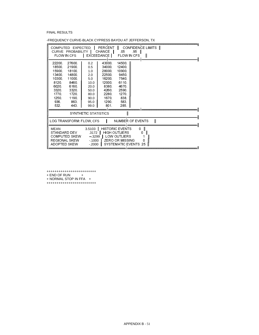FINAL RESULTS

| COMPUTED EXPECTED<br>CURVE PROBABILITY<br>FLOW IN CFS                                                |                                                                                                     |                                                                                         | PERCENT<br><b>CHANCE</b><br>EXCEEDANCE                                                              | .05<br>FLOW IN CFS                                                                                               | .95 | CONFIDENCE LIMITS   <br>I      |             |  |  |
|------------------------------------------------------------------------------------------------------|-----------------------------------------------------------------------------------------------------|-----------------------------------------------------------------------------------------|-----------------------------------------------------------------------------------------------------|------------------------------------------------------------------------------------------------------------------|-----|--------------------------------|-------------|--|--|
| 22200<br>18500<br>15900.<br>13400<br>10300<br>8120<br>6020<br>3320.<br>1770<br>1250.<br>936.<br>532. | 27600<br>21900.<br>18100<br>14800<br>11000<br>8460<br>6160<br>3320<br>1720<br>1190.<br>863.<br>443. | 0.2<br>0.5<br>1.0<br>2.0<br>5.0<br>10.0<br>20.0<br>50.0<br>80.0<br>90.0<br>95.0<br>99.0 | 43000<br>34000<br>28000<br>22500<br>16200.<br>12000<br>8380<br>4260<br>2280<br>1670<br>1290<br>801. | 14500<br>12400<br>10900.<br>9450<br>7540<br>6110.<br>4670.<br>2590<br>1270<br>838.<br>583.<br>285.               |     |                                |             |  |  |
|                                                                                                      |                                                                                                     | <b>SYNTHETIC STATISTICS</b>                                                             |                                                                                                     |                                                                                                                  |     |                                |             |  |  |
| LOG TRANSFORM: FLOW, CFS                                                                             |                                                                                                     |                                                                                         |                                                                                                     | <b>NUMBER OF EVENTS</b>                                                                                          |     |                                | $\mathbf l$ |  |  |
| <b>MEAN</b><br>STANDARD DEV<br><b>COMPUTED SKEW</b><br><b>REGIONAL SKEW</b><br>ADOPTED SKEW          |                                                                                                     | 3.5103<br>3172<br>$-3299$<br>$-1000$<br>$-.2000$                                        |                                                                                                     | <b>HISTORIC EVENTS</b><br><b>HIGH OUTLIERS</b><br>LOW OUTLIERS<br><b>ZERO OR MISSING</b><br>SYSTEMATIC EVENTS 25 | 0   | - 11<br>0<br>$\mathbf{I}$<br>n |             |  |  |

-FREQUENCY CURVE-BLACK CYPRESS BAYOU AT JEFFERSON, TX

+++++++++++++++++++++++++<br>+ END OF RUN +<br>+ NORMAL STOP IN FFA + +++++++++++++++++++++++++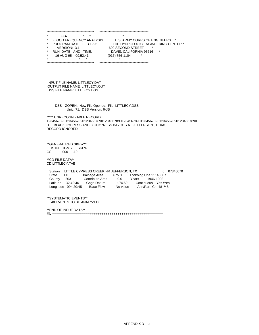\*\*\*\*\*\*\*\*\*\*\*\*\*\*\*\*\*\*\*\*\*\*\*\*\*\*\*\*\*\*\*\*\*\*\*\* \*\*\*\*\*\*\*\*\*\*\*\*\*\*\*\*\*\*\*\*\*\*\*\*\*\*\*\*\*\*\*\*\*\*\*\*\* \* FFA \* \* \* \* FLOOD FREQUENCY ANALYSIS U.S. ARMY CORPS OF ENGINEERS \* \* PROGRAM DATE: FEB 1995 THE HYDROLOGIC ENGINEERING CENTER \* \* VERSION: 3.1 609 SECOND STREET \* \* RUN DATE AND TIME: DAVIS, CALIFORNIA 95616 \* \* 16 AUG 95 09:52:41 (916) 756-1104 \* \* \* \* \* \*\*\*\*\*\*\*\*\*\*\*\*\*\*\*\*\*\*\*\*\*\*\*\*\*\*\*\*\*\*\*\*\*\*\*\* \*\*\*\*\*\*\*\*\*\*\*\*\*\*\*\*\*\*\*\*\*\*\*\*\*\*\*\*\*\*\*\*\*\*\*\*\* INPUT FILE NAME: LITTLECY.DAT OUTPUT FILE NAME: LITTLECY.OUT DSS FILE NAME: LITTLECY.DSS -----DSS---ZOPEN: New File Opened, File: LITTLECY.DSS Unit: 71; DSS Version: 6-JB \*\*\*\*\* UNRECOGNIZABLE RECORD 12345678901234567890123456789012345678901234567890123456789012345678901234567890 UT BLACK CYPRESS AND BIGCYPRESS BAYOUS AT JEFFERSON , TEXAS RECORD IGNORED \*\*GENERALIZED SKEW\*\* ISTN GGMSE SKEW GS .000 -.10 \*\*CD FILE DATA\*\* CD LITTLECY.TAB Station LITTLE CYPRESS CREEK NR JEFFERSON, TX Id 07346070 State TX Drainage Area 675.0 Hydrolog Unit 11140307 County 203 Contribute Area 0.0 Years 1946-1993 Latitude 32:42:46 Gage Datum 174.60 Continuous Yes /Yes Longitude 094:20:45 Base Flow No value Ann/Part Cnt 48 /48 \*\*SYSTEMATIC EVENTS\*\* 48 EVENTS TO BE ANALYZED \*\*END OF INPUT DATA\*\* ED ++++++++++++++++++++++++++++++++++++++++++++++++++++++++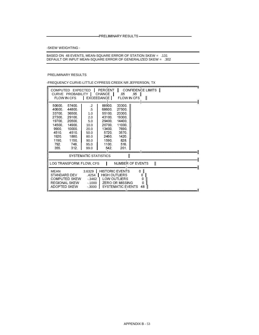-PRELIMINARY RESULTS-

-SKEW WEIGHTING -

BASED ON 48 EVENTS, MEAN-SQUARE ERROR OF STATION SKEW = .131<br>DEFAULT OR INPUT MEAN-SQUARE ERROR OF GENERALIZED SKEW = .302

PRELIMINARY RESULTS

-FREQUENCY CURVE-LITTLE CYPRESS CREEK NR JEFFERSON, TX

| COMPUTED EXPECTED<br>CURVE PROBABILITY<br>FLOW IN CFS                                                |                                                                                                        | <b>EXCEEDANCE</b>                                                                                 | PERCENT<br>CHANCE I                                                                                       | .05<br><b>FLOW IN CFS</b>                                                                          | CONFIDENCE LIMITS   <br>$.95$ | $\mathbf{I}$ |              |  |
|------------------------------------------------------------------------------------------------------|--------------------------------------------------------------------------------------------------------|---------------------------------------------------------------------------------------------------|-----------------------------------------------------------------------------------------------------------|----------------------------------------------------------------------------------------------------|-------------------------------|--------------|--------------|--|
| 50600<br>40600.<br>33700<br>27300<br>19700<br>14500<br>9900<br>4510.<br>1920<br>1190.<br>792.<br>355 | 57400<br>44800<br>36500<br>29100<br>20500<br>14900<br>10000<br>4510.<br>1880.<br>1150.<br>748.<br>312. | $\overline{2}$<br>.5<br>1.0<br>2.0<br>5.0<br>10.0<br>20.0<br>50.0<br>80.0<br>90.0<br>95.0<br>99.0 | 88900.<br>68600<br>55100<br>43100<br>29400.<br>20700.<br>13400.<br>5720<br>2460.<br>1590<br>1100.<br>542. | 33300<br>27500<br>23300<br>19300<br>14400.<br>11000<br>7690<br>3570<br>1420<br>828.<br>516<br>201. |                               |              |              |  |
|                                                                                                      | SYSTEMATIC STATISTICS                                                                                  |                                                                                                   |                                                                                                           |                                                                                                    |                               |              |              |  |
| LOG TRANSFORM: FLOW, CFS                                                                             |                                                                                                        |                                                                                                   |                                                                                                           | <b>NUMBER OF EVENTS</b>                                                                            |                               |              | $\mathsf{I}$ |  |
| <b>MEAN</b><br>STANDARD DEV<br><b>COMPUTED SKEW</b><br><b>REGIONAL SKEW</b><br>ADOPTED SKEW          |                                                                                                        | 3.6329<br>4254<br>$-0.3462$<br>-.1000<br>$-.3000$                                                 | <b>HIGH OUTLIERS</b><br>LOW OUTLIERS                                                                      | <b>HISTORIC EVENTS</b><br><b>ZERO OR MISSING</b><br><b>SYSTEMATIC EVENTS</b>                       | 0<br>0<br>0<br>0<br>48        |              |              |  |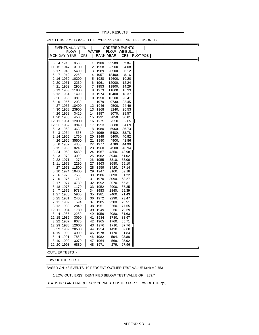FINAL RESULTS -

| EVENTS ANALYZED           |                 | $\blacksquare$ |              | ═══┯<br>ORDERED EVENTS |                | $\parallel$ |  |   |
|---------------------------|-----------------|----------------|--------------|------------------------|----------------|-------------|--|---|
|                           | <b>FLOW</b>     |                | WATER        | FLOW WEIBULL           |                |             |  |   |
| MON DAY YEAR              | <b>CFS</b>      | $\mathbf{I}$   |              | RANK YEAR              | CFS PLOT POS   |             |  | ╢ |
| 4 1946<br>6               | 9500.           | 1              | 1966         | 35500.                 | 2.04           |             |  |   |
| 11 15 1947                | 3100.           | 2              | 1958         | 23900.                 | 4.08           |             |  |   |
| 5 17 1948                 | 5400.           | 3              | 1989         | 20500.                 | 6.12           |             |  |   |
| 5<br>7 1949               | 2260.           | 4              | 1957         | 18400.                 | 8.16           |             |  |   |
| 2 16 1950                 | 10200.          | 5              | 1988         | 12600.                 | 10.20          |             |  |   |
| 2 20 1951<br>4 21 1952    | 2260.<br>2900.  | 6<br>7         | 1961<br>1953 | 12000.<br>11800.       | 12.24<br>14.29 |             |  |   |
| 5 19 1953                 | 11800.          | 8              | 1973         | 11800.                 | 16.33          |             |  |   |
| 5 13 1954                 | 1490.           | 9              | 1974         | 10400.                 | 18.37          |             |  |   |
| 3 26 1955                 | 3810.           | 10             | 1950         | 10200.                 | 20.41          |             |  |   |
| 5<br>6 1956               | 2080.           | 11             | 1979         | 9730.                  | 22.45          |             |  |   |
| 4 27 1957                 | 18400.          | 12             | 1946         | 9500.                  | 24.49          |             |  |   |
| 4 30 1958                 | 23900.          | 13             | 1968         | 8240.                  | 26.53          |             |  |   |
| 4 26 1959                 | 3420.           | 14             | 1987         | 8070.                  | 28.57          |             |  |   |
| 1 20 1960                 | 4500.           | 15             | 1991         | 7850.                  | 30.61          |             |  |   |
| 12 11 1961<br>12 23 1962  | 12000.          | 16<br>17       | 1975<br>1993 | 7550.<br>6880.         | 32.65<br>34.69 |             |  |   |
| 5<br>3 1963               | 3940.<br>3680.  | 18             | 1980         | 5960.                  | 36.73          |             |  |   |
| 3 1964<br>5               | 568.            | 19             | 1969         | 5480.                  | 38.78          |             |  |   |
| 2 14 1965                 | 1760.           | 20             | 1948         | 5400.                  | 40.82          |             |  |   |
| 4<br>26 1966              | 35500.          | 21             | 1990         | 4900.                  | 42.86          |             |  |   |
| 6 1967<br>6               | 4350.           | 22             | 1977         | 4780.                  | 44.90          |             |  |   |
| 5 15 1968                 | 8240.           | 23             | 1960         | 4500.                  | 46.94          |             |  |   |
| 3 24 1969                 | 5480.           | 24             | 1967         | 4350.                  | 48.98          |             |  |   |
| 5<br>3 1970               | 3090.           | 25             | 1962         | 3940.                  | 51.02          |             |  |   |
| 2 22 1971                 | 279.            | 26             | 1955         | 3810.                  | 53.06          |             |  |   |
| 11 1972<br>1<br>4 27 1973 | 2290.<br>11800. | 27<br>28       | 1963<br>1959 | 3680.<br>3420.         | 55.10<br>57.14 |             |  |   |
| 10 1974<br>6              | 10400.          | 29             | 1947         | 3100.                  | 59.18          |             |  |   |
| 2<br>6 1975               | 7550.           | 30             | 1986         | 3090.                  | 61.22          |             |  |   |
| 7<br>6 1976               | 1710.           | 31             | 1970         | 3090.                  | 63.27          |             |  |   |
| 2 17 1977                 | 4780.           | 32             | 1992         | 3070.                  | 65.31          |             |  |   |
| 18 1978<br>3              | 1170.           | 33             | 1952         | 2900.                  | 67.35          |             |  |   |
| 5<br>7 1979               | 9730.           | 34             | 1983         | 2840.                  | 69.39          |             |  |   |
| 1 27 1980                 | 5960.           | 35             | 1981         | 2400.                  | 71.43          |             |  |   |
| 5 25 1981                 | 2400.           | 36             | 1972         | 2290.                  | 73.47          |             |  |   |
| 2 11 1982                 | 594.            | 37<br>38       | 1985         | 2280.<br>2260.         | 75.51          |             |  |   |
| 3 12 1983<br>12 11 1984   | 2840.<br>1780.  | 39             | 1951<br>1949 | 2260.                  | 77.55<br>79.59 |             |  |   |
| 3<br>4 1985               | 2280.           | 40             | 1956         | 2080.                  | 81.63          |             |  |   |
| 12 15 1986                | 3090.           | 41             | 1984         | 1780.                  | 83.67          |             |  |   |
| 3 22 1987                 | 8070.           | 42             | 1965         | 1760.                  | 85.71          |             |  |   |
| 12 29 1988                | 12600.          | 43             | 1976         | 1710.                  | 87.76          |             |  |   |
| 3 29 1989                 | 20500.          | 44             | 1954         | 1490.                  | 89.80          |             |  |   |
| 4 19 1990                 | 4900.           | 45             | 1978         | 1170.                  | 91.84          |             |  |   |
| 4 1991<br>5               | 7850.           | 46             | 1982         | 594.                   | 93.88          |             |  |   |
| 3 10 1992                 | 3070.           | 47             | 1964         | 568.                   | 95.92          |             |  |   |
| 12 20 1993                | 6880.           |                | 48 1971      | 279.                   | 97.96          |             |  | Щ |

-PLOTTING POSITIONS-LITTLE CYPRESS CREEK NR JEFFERSON, TX

-OUTLIER TESTS -

LOW OUTLIER TEST

BASED ON 48 EVENTS, 10 PERCENT OUTLIER TEST VALUE K(N) = 2.753

STATISTICS AND FREQUENCY CURVE ADJUSTED FOR 1 LOW OUTLIER(S)

APPENDIX B - 54

1 LOW OUTLIER(S) IDENTIFIED BELOW TEST VALUE OF 289.7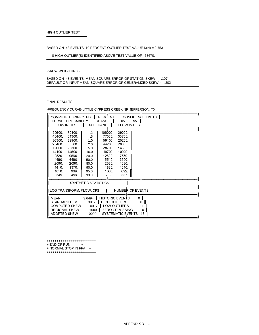### BASED ON 48 EVENTS, 10 PERCENT OUTLIER TEST VALUE K(N) = 2.753

0 HIGH OUTLIER(S) IDENTIFIED ABOVE TEST VALUE OF 63670.

#### -SKEW WEIGHTING -

 BASED ON 48 EVENTS, MEAN-SQUARE ERROR OF STATION SKEW = .107 DEFAULT OR INPUT MEAN-SQUARE ERROR OF GENERALIZED SKEW = .302

#### FINAL RESULTS

-FREQUENCY CURVE-LITTLE CYPRESS CREEK NR JEFFERSON, TX

| COMPUTED EXPECTED<br><b>FLOW IN CFS</b>                                                              | CURVE PROBABILITY                                                                                    |                                                                                                   | PERCENT<br>CHANCE I<br><b>EXCEEDANCE</b>                                                                 | .05<br><b>FLOW IN CFS</b>                                                                              | CONFIDENCE LIMITS   <br>$95$ |   |  |  |
|------------------------------------------------------------------------------------------------------|------------------------------------------------------------------------------------------------------|---------------------------------------------------------------------------------------------------|----------------------------------------------------------------------------------------------------------|--------------------------------------------------------------------------------------------------------|------------------------------|---|--|--|
| 59600.<br>45400<br>36300<br>28400<br>19600<br>14100<br>9520<br>4460<br>2090<br>1410<br>1010.<br>549. | 70100.<br>51300<br>39900<br>30500<br>20500.<br>14600<br>9660<br>4460<br>2060<br>1370<br>969.<br>498. | $\overline{2}$<br>.5<br>1.0<br>2.0<br>5.0<br>10.0<br>20.0<br>50.0<br>80.0<br>90.0<br>95.0<br>99.0 | 106000<br>77000.<br>59100<br>44200.<br>28700<br>19700<br>12600.<br>5540<br>2630<br>1830<br>1360.<br>789. | 39000<br>30700<br>25200<br>20300<br>14600<br>10900.<br>7550.<br>3590.<br>1580.<br>1010.<br>692.<br>337 |                              |   |  |  |
|                                                                                                      |                                                                                                      | SYNTHETIC STATISTICS                                                                              |                                                                                                          |                                                                                                        |                              |   |  |  |
| LOG TRANSFORM: FLOW, CFS                                                                             |                                                                                                      |                                                                                                   |                                                                                                          | NUMBER OF EVENTS                                                                                       |                              | Ш |  |  |
| MEAN<br>STANDARD DEV<br><b>COMPUTED SKEW</b><br><b>REGIONAL SKEW</b><br>ADOPTED SKEW                 |                                                                                                      | 3.6494<br>3912<br>0017<br>$-1000$<br>0000                                                         | <b>HISTORIC EVENTS</b><br><b>HIGH OUTLIERS</b>                                                           | LOW OUTLIERS<br><b>ZERO OR MISSING</b><br>SYSTEMATIC EVENTS                                            | $0$ II<br>0<br>O<br>48       |   |  |  |

+++++++++++++++++++++++++

+ END OF RUN +

+ NORMAL STOP IN FFA +

+++++++++++++++++++++++++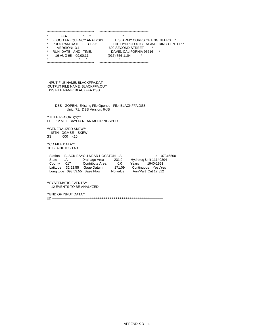|         | *****************************     | *****************************          |
|---------|-----------------------------------|----------------------------------------|
| ÷       | $\star$<br>$\star$<br>FFA         | ÷                                      |
| $\star$ | <b>FLOOD FREQUENCY ANALYSIS</b>   | U.S. ARMY CORPS OF ENGINEERS *         |
| $\star$ | PROGRAM DATE: FEB 1995            | THE HYDROLOGIC ENGINEERING CENTER *    |
| $\star$ | VERSION: 3.1                      | 609 SECOND STREET<br>*                 |
| *       | RUN DATE AND TIME:                | DAVIS, CALIFORNIA 95616<br>$\star$     |
| $\star$ | 16 AUG 95 09:00:11                | (916) 756-1104<br>$\star$              |
| ÷       | $\star$<br>÷                      |                                        |
|         | ********************************* | ************************************** |

 INPUT FILE NAME: BLACKFFA.DAT OUTPUT FILE NAME: BLACKFFA.OUT DSS FILE NAME: BLACKFFA.DSS

 -----DSS---ZOPEN: Existing File Opened, File: BLACKFFA.DSS Unit: 71; DSS Version: 6-JB

 \*\*TITLE RECORD(S)\*\* TT 12 MILE BAYOU NEAR MOORINGSPORT

 \*\*GENERALIZED SKEW\*\* ISTN GGMSE SKEW<br>GS .000 -.10  $.000 - .10$ 

 \*\*CD FILE DATA\*\* CD BLACKHOS.TAB

Station BLACK BAYOU NEAR HOSSTON, LA. Id 07346500<br>State LA Drainage Area 231.0 Hydrolog Unit 11140304 State LA Drainage Area 231.0 Hydrolog Unit 11140304 County 017 Contribute Area 0.0 Years 1940-1951 Latitude 32:52:55 Gage Datum 171.09 Continuous Yes /Yes Longitude 093:53:55 Base Flow No value Ann/Part Cnt 12 /12

 \*\*SYSTEMATIC EVENTS\*\* 12 EVENTS TO BE ANALYZED

 \*\*END OF INPUT DATA\*\* ED ++++++++++++++++++++++++++++++++++++++++++++++++++++++++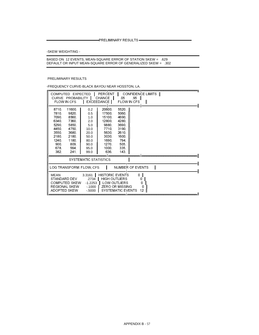PRELIMINARY RESULTS —————

-SKEW WEIGHTING -

BASED ON 12 EVENTS, MEAN-SQUARE ERROR OF STATION SKEW = .629<br>DEFAULT OR INPUT MEAN-SQUARE ERROR OF GENERALIZED SKEW = .302

## PRELIMINARY RESULTS

-FREQUENCY CURVE-BLACK BAYOU NEAR HOSSTON, LA.

|                                                                                               | COMPUTED EXPECTED<br>CURVE PROBABILITY<br><b>FLOW IN CFS</b>                                   |                                                                                         | PERCENT<br><b>CHANCE</b><br><b>EXCEEDANCE</b>                                                                 | .05<br>FLOW IN CFS                                                                             | CONFIDENCE LIMITS  <br>95 | $\mathbf{I}$ |   |  |  |
|-----------------------------------------------------------------------------------------------|------------------------------------------------------------------------------------------------|-----------------------------------------------------------------------------------------|---------------------------------------------------------------------------------------------------------------|------------------------------------------------------------------------------------------------|---------------------------|--------------|---|--|--|
| 8710<br>7810.<br>7090<br>6340<br>5290<br>4450<br>3550<br>2180<br>1240.<br>900.<br>678<br>382. | 11600<br>9820.<br>8560<br>7360<br>5850<br>4750<br>3680<br>2180<br>1180.<br>809.<br>564<br>241. | 0.2<br>0.5<br>1.0<br>2.0<br>5.0<br>10.0<br>20.0<br>50.0<br>80.0<br>90.0<br>95.0<br>99.0 | 20600.<br>17500<br>15100<br>12800.<br>9880.<br>7710<br>5630<br>3030.<br>1690.<br>1270.<br>1000.<br>636        | 5520.<br>5060<br>4690<br>4280<br>3690<br>3190.<br>2610<br>1600<br>794.<br>505.<br>335.<br>143. |                           |              |   |  |  |
|                                                                                               |                                                                                                | SYSTEMATIC STATISTICS                                                                   |                                                                                                               |                                                                                                |                           |              |   |  |  |
|                                                                                               |                                                                                                | LOG TRANSFORM: FLOW, CFS                                                                |                                                                                                               | <b>NUMBER OF EVENTS</b>                                                                        |                           |              | Ш |  |  |
| <b>MEAN</b>                                                                                   | STANDARD DEV<br><b>COMPUTED SKEW</b><br><b>REGIONAL SKEW</b><br>ADOPTED SKEW                   | 3.3161<br>2734<br>$-1.2253$<br>$-1000$<br>$-0.5000$                                     | <b>HISTORIC EVENTS</b><br><b>HIGH OUTLIERS</b><br>LOW OUTLIERS<br><b>ZERO OR MISSING</b><br>SYSTEMATIC EVENTS |                                                                                                | 0 II<br>0                 | 0<br>0<br>12 |   |  |  |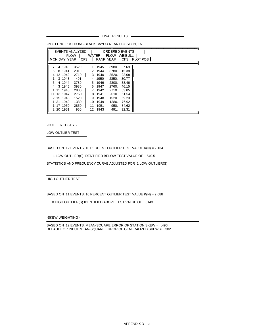- FINAL RESULTS -

| MON DAY YEAR CFS                                                                                                                            | EVENTS ANALYZED<br><b>FLOW</b>                                                                 |                                         |                                                                                          | ORDERED EVENTS<br>WATER FLOW WEIBULL II                                                        |                                                                                                | RANK YEAR CFS PLOT POS |  |  |  |  |
|---------------------------------------------------------------------------------------------------------------------------------------------|------------------------------------------------------------------------------------------------|-----------------------------------------|------------------------------------------------------------------------------------------|------------------------------------------------------------------------------------------------|------------------------------------------------------------------------------------------------|------------------------|--|--|--|--|
| 4 1940<br>8 1941<br>5<br>12 1942<br>4<br>3 1943<br>4 1944<br>5<br>3 1945<br>4<br>11 1946<br>11 13 1947<br>2 15 1948<br>1 31 1949<br>17 1950 | 3520.<br>2010.<br>2710.<br>491.<br>3780.<br>3980.<br>2800.<br>2760.<br>1520.<br>1380.<br>2850. | 1.<br>4<br>5.<br>6<br>7<br>8<br>9<br>10 | 1945<br>2 1944<br>3 1940<br>1950<br>1946<br>1947<br>1942<br>1941<br>1948<br>1949<br>1951 | 3980.<br>3780.<br>3520.<br>2850.<br>2800.<br>2760.<br>2710.<br>2010.<br>1520.<br>1380.<br>950. | 7.69<br>15.38<br>23.08<br>30.77<br>38.46<br>46.15<br>53.85<br>61.54<br>69.23<br>76.92<br>84.62 |                        |  |  |  |  |
| 2 20 1951                                                                                                                                   | 950.                                                                                           | 11<br>12.                               | 1943                                                                                     | 491.                                                                                           | 92.31                                                                                          |                        |  |  |  |  |

-PLOTTING POSITIONS-BLACK BAYOU NEAR HOSSTON, LA

-OUTLIER TESTS -

LOW OUTLIER TEST

BASED ON 12 EVENTS, 10 PERCENT OUTLIER TEST VALUE K(N) = 2.134

1 LOW OUTLIER(S) IDENTIFIED BELOW TEST VALUE OF 540.5

STATISTICS AND FREQUENCY CURVE ADJUSTED FOR 1 LOW OUTLIER(S)

HIGH OUTLIER TEST

BASED ON 11 EVENTS, 10 PERCENT OUTLIER TEST VALUE K(N) = 2.088

0 HIGH OUTLIER(S) IDENTIFIED ABOVE TEST VALUE OF 6143.

-SKEW WEIGHTING -

BASED ON 12 EVENTS, MEAN-SQUARE ERROR OF STATION SKEW = .496 DEFAULT OR INPUT MEAN-SQUARE ERROR OF GENERALIZED SKEW = .302